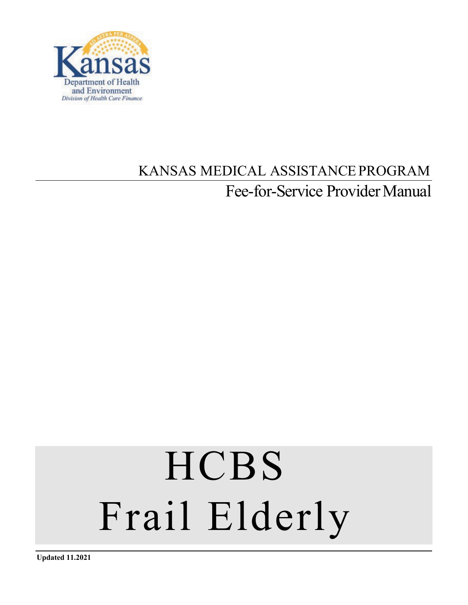

# KANSAS MEDICAL ASSISTANCEPROGRAM Fee-for-Service Provider Manual

# **HCBS** Frail Elderly

**Updated 11.2021**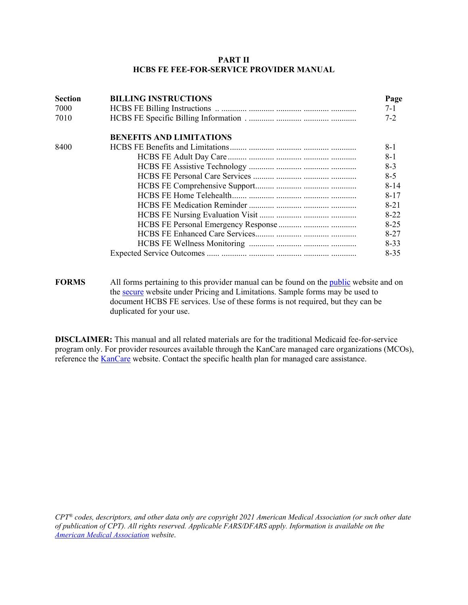#### **PART II HCBS FE FEE-FOR-SERVICE PROVIDER MANUAL**

| <b>Section</b> | <b>BILLING INSTRUCTIONS</b>     | Page     |
|----------------|---------------------------------|----------|
| 7000           |                                 | $7 - 1$  |
| 7010           |                                 | $7 - 2$  |
|                | <b>BENEFITS AND LIMITATIONS</b> |          |
| 8400           |                                 | $8-1$    |
|                |                                 | $8-1$    |
|                |                                 | $8 - 3$  |
|                |                                 | $8 - 5$  |
|                |                                 | $8 - 14$ |
|                |                                 | $8 - 17$ |
|                |                                 | $8 - 21$ |
|                |                                 | $8-22$   |
|                |                                 | $8 - 25$ |
|                |                                 | $8 - 27$ |
|                |                                 | $8 - 33$ |
|                |                                 | $8 - 35$ |
|                |                                 |          |
|                |                                 |          |

**FORMS** All forms pertaining to this provider manual can be found on the *public* website and on the [secure](https://www.kmap-state-ks.us/provider/security/logon.asp) website under Pricing and Limitations. Sample forms may be used to document HCBS FE services. Use of these forms is not required, but they can be duplicated for your use.

**DISCLAIMER:** This manual and all related materials are for the traditional Medicaid fee-for-service program only. For provider resources available through the KanCare managed care organizations (MCOs), reference the [KanCare](http://www.kancare.ks.gov/index.htm) website. Contact the specific health plan for managed care assistance.

*CPT® codes, descriptors, and other data only are copyright 2021 American Medical Association (or such other date of publication of CPT). All rights reserved. Applicable FARS/DFARS apply. Information is available on the [American Medical Association](http://www.ama-assn.org/) website*.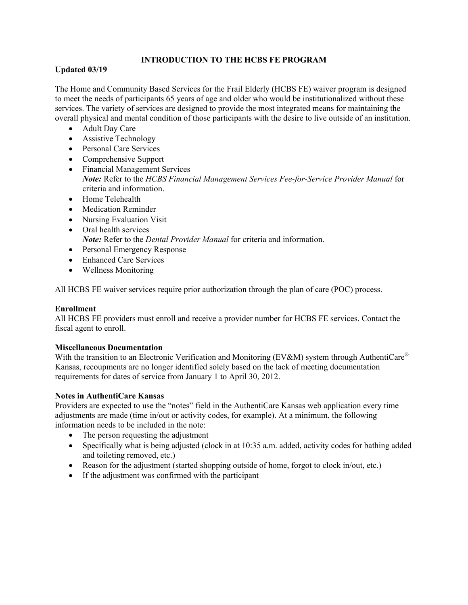# **INTRODUCTION TO THE HCBS FE PROGRAM**

# **Updated 03/19**

The Home and Community Based Services for the Frail Elderly (HCBS FE) waiver program is designed to meet the needs of participants 65 years of age and older who would be institutionalized without these services. The variety of services are designed to provide the most integrated means for maintaining the overall physical and mental condition of those participants with the desire to live outside of an institution.

- Adult Day Care
- Assistive Technology
- Personal Care Services
- Comprehensive Support
- Financial Management Services *Note:* Refer to the *HCBS Financial Management Services Fee-for-Service Provider Manual* for criteria and information.
- Home Telehealth
- Medication Reminder
- Nursing Evaluation Visit
- Oral health services *Note:* Refer to the *Dental Provider Manual* for criteria and information.
- Personal Emergency Response
- Enhanced Care Services
- Wellness Monitoring

All HCBS FE waiver services require prior authorization through the plan of care (POC) process.

# **Enrollment**

All HCBS FE providers must enroll and receive a provider number for HCBS FE services. Contact the fiscal agent to enroll.

#### **Miscellaneous Documentation**

With the transition to an Electronic Verification and Monitoring (EV&M) system through AuthentiCare® Kansas, recoupments are no longer identified solely based on the lack of meeting documentation requirements for dates of service from January 1 to April 30, 2012.

#### **Notes in AuthentiCare Kansas**

Providers are expected to use the "notes" field in the AuthentiCare Kansas web application every time adjustments are made (time in/out or activity codes, for example). At a minimum, the following information needs to be included in the note:

- The person requesting the adjustment
- Specifically what is being adjusted (clock in at 10:35 a.m. added, activity codes for bathing added and toileting removed, etc.)
- Reason for the adjustment (started shopping outside of home, forgot to clock in/out, etc.)
- If the adjustment was confirmed with the participant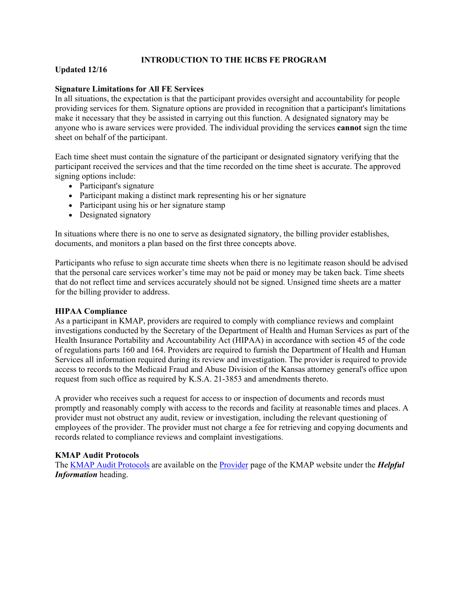#### **INTRODUCTION TO THE HCBS FE PROGRAM**

# **Updated 12/16**

#### **Signature Limitations for All FE Services**

In all situations, the expectation is that the participant provides oversight and accountability for people providing services for them. Signature options are provided in recognition that a participant's limitations make it necessary that they be assisted in carrying out this function. A designated signatory may be anyone who is aware services were provided. The individual providing the services **cannot** sign the time sheet on behalf of the participant.

Each time sheet must contain the signature of the participant or designated signatory verifying that the participant received the services and that the time recorded on the time sheet is accurate. The approved signing options include:

- Participant's signature
- Participant making a distinct mark representing his or her signature
- Participant using his or her signature stamp
- Designated signatory

In situations where there is no one to serve as designated signatory, the billing provider establishes, documents, and monitors a plan based on the first three concepts above.

Participants who refuse to sign accurate time sheets when there is no legitimate reason should be advised that the personal care services worker's time may not be paid or money may be taken back. Time sheets that do not reflect time and services accurately should not be signed. Unsigned time sheets are a matter for the billing provider to address.

#### **HIPAA Compliance**

As a participant in KMAP, providers are required to comply with compliance reviews and complaint investigations conducted by the Secretary of the Department of Health and Human Services as part of the Health Insurance Portability and Accountability Act (HIPAA) in accordance with section 45 of the code of regulations parts 160 and 164. Providers are required to furnish the Department of Health and Human Services all information required during its review and investigation. The provider is required to provide access to records to the Medicaid Fraud and Abuse Division of the Kansas attorney general's office upon request from such office as required by K.S.A. 21-3853 and amendments thereto.

A provider who receives such a request for access to or inspection of documents and records must promptly and reasonably comply with access to the records and facility at reasonable times and places. A provider must not obstruct any audit, review or investigation, including the relevant questioning of employees of the provider. The provider must not charge a fee for retrieving and copying documents and records related to compliance reviews and complaint investigations.

#### **KMAP Audit Protocols**

The [KMAP Audit Protocols](https://www.kmap-state-ks.us/Documents/Content/Provider/Audit_Protocols.pdf) are available on the [Provider](https://www.kmap-state-ks.us/Public/provider.asp) page of the KMAP website under the *Helpful Information* heading.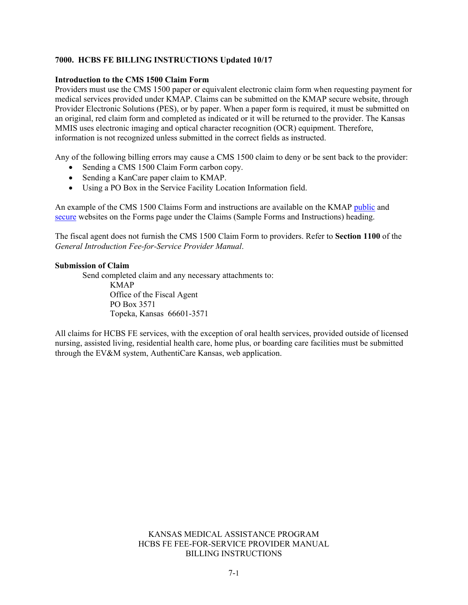#### **7000. HCBS FE BILLING INSTRUCTIONS Updated 10/17**

#### **Introduction to the CMS 1500 Claim Form**

Providers must use the CMS 1500 paper or equivalent electronic claim form when requesting payment for medical services provided under KMAP. Claims can be submitted on the KMAP secure website, through Provider Electronic Solutions (PES), or by paper. When a paper form is required, it must be submitted on an original, red claim form and completed as indicated or it will be returned to the provider. The Kansas MMIS uses electronic imaging and optical character recognition (OCR) equipment. Therefore, information is not recognized unless submitted in the correct fields as instructed.

Any of the following billing errors may cause a CMS 1500 claim to deny or be sent back to the provider:

- Sending a CMS 1500 Claim Form carbon copy.
- Sending a KanCare paper claim to KMAP.
- Using a PO Box in the Service Facility Location Information field.

An example of the CMS 1500 Claims Form and instructions are available on the KMAP [public](https://www.kmap-state-ks.us/Public/forms.asp) and [secure](https://www.kmap-state-ks.us/provider/security/logon.asp) websites on the [Forms page](https://www.kmap-state-ks.us/Public/forms.asp) under the Claims (Sample Forms and Instructions) heading.

The fiscal agent does not furnish the CMS 1500 Claim Form to providers. Refer to **Section 1100** of the *General Introduction Fee-for-Service Provider Manual*.

#### **Submission of Claim**

Send completed claim and any necessary attachments to: KMAP Office of the Fiscal Agent PO Box 3571 Topeka, Kansas 66601-3571

All claims for HCBS FE services, with the exception of oral health services, provided outside of licensed nursing, assisted living, residential health care, home plus, or boarding care facilities must be submitted through the EV&M system, AuthentiCare Kansas, web application.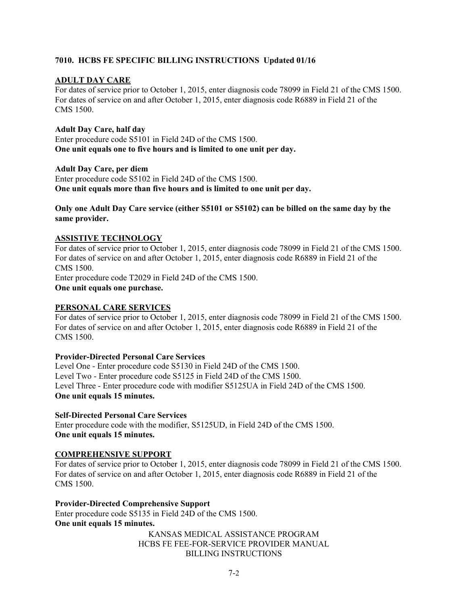# **7010. HCBS FE SPECIFIC BILLING INSTRUCTIONS Updated 01/16**

# **ADULT DAY CARE**

For dates of service prior to October 1, 2015, enter diagnosis code 78099 in Field 21 of the CMS 1500. For dates of service on and after October 1, 2015, enter diagnosis code R6889 in Field 21 of the CMS 1500.

#### **Adult Day Care, half day**

Enter procedure code S5101 in Field 24D of the CMS 1500. **One unit equals one to five hours and is limited to one unit per day.**

#### **Adult Day Care, per diem**

Enter procedure code S5102 in Field 24D of the CMS 1500. **One unit equals more than five hours and is limited to one unit per day.**

#### **Only one Adult Day Care service (either S5101 or S5102) can be billed on the same day by the same provider.**

#### **ASSISTIVE TECHNOLOGY**

For dates of service prior to October 1, 2015, enter diagnosis code 78099 in Field 21 of the CMS 1500. For dates of service on and after October 1, 2015, enter diagnosis code R6889 in Field 21 of the CMS 1500.

Enter procedure code T2029 in Field 24D of the CMS 1500. **One unit equals one purchase.**

#### **PERSONAL CARE SERVICES**

For dates of service prior to October 1, 2015, enter diagnosis code 78099 in Field 21 of the CMS 1500. For dates of service on and after October 1, 2015, enter diagnosis code R6889 in Field 21 of the CMS 1500.

#### **Provider-Directed Personal Care Services**

Level One - Enter procedure code S5130 in Field 24D of the CMS 1500. Level Two - Enter procedure code S5125 in Field 24D of the CMS 1500. Level Three - Enter procedure code with modifier S5125UA in Field 24D of the CMS 1500. **One unit equals 15 minutes.**

**Self-Directed Personal Care Services**

Enter procedure code with the modifier, S5125UD, in Field 24D of the CMS 1500. **One unit equals 15 minutes.**

#### **COMPREHENSIVE SUPPORT**

For dates of service prior to October 1, 2015, enter diagnosis code 78099 in Field 21 of the CMS 1500. For dates of service on and after October 1, 2015, enter diagnosis code R6889 in Field 21 of the CMS 1500.

**Provider-Directed Comprehensive Support** Enter procedure code S5135 in Field 24D of the CMS 1500. **One unit equals 15 minutes.**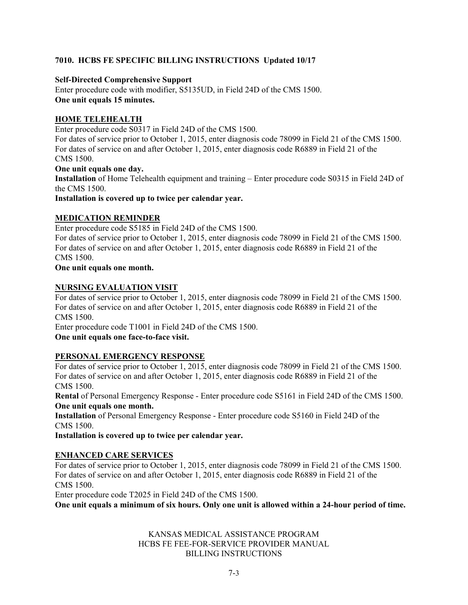# **7010. HCBS FE SPECIFIC BILLING INSTRUCTIONS Updated 10/17**

# **Self-Directed Comprehensive Support**

Enter procedure code with modifier, S5135UD, in Field 24D of the CMS 1500. **One unit equals 15 minutes.**

# **HOME TELEHEALTH**

Enter procedure code S0317 in Field 24D of the CMS 1500.

For dates of service prior to October 1, 2015, enter diagnosis code 78099 in Field 21 of the CMS 1500. For dates of service on and after October 1, 2015, enter diagnosis code R6889 in Field 21 of the CMS 1500.

#### **One unit equals one day.**

**Installation** of Home Telehealth equipment and training – Enter procedure code S0315 in Field 24D of the CMS 1500.

**Installation is covered up to twice per calendar year.**

# **MEDICATION REMINDER**

Enter procedure code S5185 in Field 24D of the CMS 1500.

For dates of service prior to October 1, 2015, enter diagnosis code 78099 in Field 21 of the CMS 1500. For dates of service on and after October 1, 2015, enter diagnosis code R6889 in Field 21 of the CMS 1500.

#### **One unit equals one month.**

# **NURSING EVALUATION VISIT**

For dates of service prior to October 1, 2015, enter diagnosis code 78099 in Field 21 of the CMS 1500. For dates of service on and after October 1, 2015, enter diagnosis code R6889 in Field 21 of the CMS 1500.

Enter procedure code T1001 in Field 24D of the CMS 1500. **One unit equals one face-to-face visit.**

# **PERSONAL EMERGENCY RESPONSE**

For dates of service prior to October 1, 2015, enter diagnosis code 78099 in Field 21 of the CMS 1500. For dates of service on and after October 1, 2015, enter diagnosis code R6889 in Field 21 of the CMS 1500.

**Rental** of Personal Emergency Response - Enter procedure code S5161 in Field 24D of the CMS 1500. **One unit equals one month.**

**Installation** of Personal Emergency Response - Enter procedure code S5160 in Field 24D of the CMS 1500.

**Installation is covered up to twice per calendar year.**

# **ENHANCED CARE SERVICES**

For dates of service prior to October 1, 2015, enter diagnosis code 78099 in Field 21 of the CMS 1500. For dates of service on and after October 1, 2015, enter diagnosis code R6889 in Field 21 of the CMS 1500.

Enter procedure code T2025 in Field 24D of the CMS 1500.

**One unit equals a minimum of six hours. Only one unit is allowed within a 24-hour period of time.**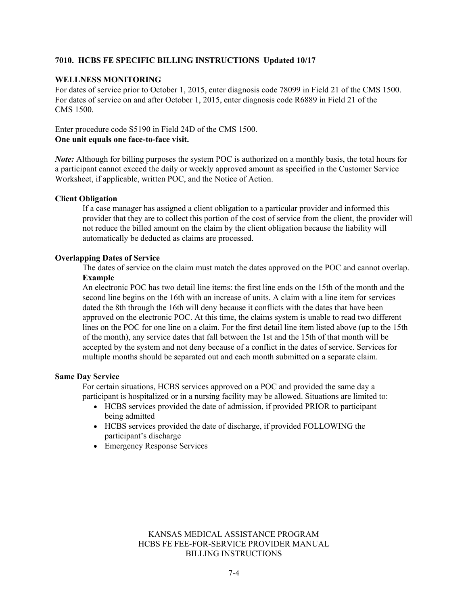#### **7010. HCBS FE SPECIFIC BILLING INSTRUCTIONS Updated 10/17**

#### **WELLNESS MONITORING**

For dates of service prior to October 1, 2015, enter diagnosis code 78099 in Field 21 of the CMS 1500. For dates of service on and after October 1, 2015, enter diagnosis code R6889 in Field 21 of the CMS 1500.

Enter procedure code S5190 in Field 24D of the CMS 1500. **One unit equals one face-to-face visit.**

*Note:* Although for billing purposes the system POC is authorized on a monthly basis, the total hours for a participant cannot exceed the daily or weekly approved amount as specified in the Customer Service Worksheet, if applicable, written POC, and the Notice of Action.

#### **Client Obligation**

If a case manager has assigned a client obligation to a particular provider and informed this provider that they are to collect this portion of the cost of service from the client, the provider will not reduce the billed amount on the claim by the client obligation because the liability will automatically be deducted as claims are processed.

#### **Overlapping Dates of Service**

The dates of service on the claim must match the dates approved on the POC and cannot overlap. **Example**

An electronic POC has two detail line items: the first line ends on the 15th of the month and the second line begins on the 16th with an increase of units. A claim with a line item for services dated the 8th through the 16th will deny because it conflicts with the dates that have been approved on the electronic POC. At this time, the claims system is unable to read two different lines on the POC for one line on a claim. For the first detail line item listed above (up to the 15th of the month), any service dates that fall between the 1st and the 15th of that month will be accepted by the system and not deny because of a conflict in the dates of service. Services for multiple months should be separated out and each month submitted on a separate claim.

#### **Same Day Service**

For certain situations, HCBS services approved on a POC and provided the same day a participant is hospitalized or in a nursing facility may be allowed. Situations are limited to:

- HCBS services provided the date of admission, if provided PRIOR to participant being admitted
- HCBS services provided the date of discharge, if provided FOLLOWING the participant's discharge
- Emergency Response Services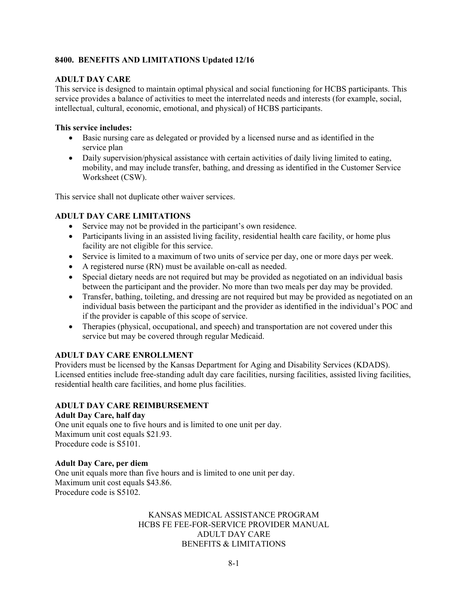# **ADULT DAY CARE**

This service is designed to maintain optimal physical and social functioning for HCBS participants. This service provides a balance of activities to meet the interrelated needs and interests (for example, social, intellectual, cultural, economic, emotional, and physical) of HCBS participants.

#### **This service includes:**

- Basic nursing care as delegated or provided by a licensed nurse and as identified in the service plan
- Daily supervision/physical assistance with certain activities of daily living limited to eating, mobility, and may include transfer, bathing, and dressing as identified in the Customer Service Worksheet (CSW).

This service shall not duplicate other waiver services.

# **ADULT DAY CARE LIMITATIONS**

- Service may not be provided in the participant's own residence.
- Participants living in an assisted living facility, residential health care facility, or home plus facility are not eligible for this service.
- Service is limited to a maximum of two units of service per day, one or more days per week.
- A registered nurse (RN) must be available on-call as needed.
- Special dietary needs are not required but may be provided as negotiated on an individual basis between the participant and the provider. No more than two meals per day may be provided.
- Transfer, bathing, toileting, and dressing are not required but may be provided as negotiated on an individual basis between the participant and the provider as identified in the individual's POC and if the provider is capable of this scope of service.
- Therapies (physical, occupational, and speech) and transportation are not covered under this service but may be covered through regular Medicaid.

#### **ADULT DAY CARE ENROLLMENT**

Providers must be licensed by the Kansas Department for Aging and Disability Services (KDADS). Licensed entities include free-standing adult day care facilities, nursing facilities, assisted living facilities, residential health care facilities, and home plus facilities.

#### **ADULT DAY CARE REIMBURSEMENT**

#### **Adult Day Care, half day**

One unit equals one to five hours and is limited to one unit per day. Maximum unit cost equals \$21.93. Procedure code is S5101.

#### **Adult Day Care, per diem**

One unit equals more than five hours and is limited to one unit per day. Maximum unit cost equals \$43.86. Procedure code is S5102.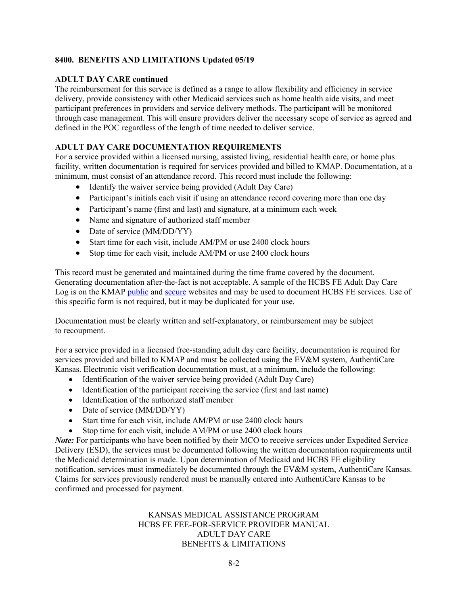# **ADULT DAY CARE continued**

The reimbursement for this service is defined as a range to allow flexibility and efficiency in service delivery, provide consistency with other Medicaid services such as home health aide visits, and meet participant preferences in providers and service delivery methods. The participant will be monitored through case management. This will ensure providers deliver the necessary scope of service as agreed and defined in the POC regardless of the length of time needed to deliver service.

# **ADULT DAY CARE DOCUMENTATION REQUIREMENTS**

For a service provided within a licensed nursing, assisted living, residential health care, or home plus facility, written documentation is required for services provided and billed to KMAP. Documentation, at a minimum, must consist of an attendance record. This record must include the following:

- Identify the waiver service being provided (Adult Day Care)
- Participant's initials each visit if using an attendance record covering more than one day
- Participant's name (first and last) and signature, at a minimum each week
- Name and signature of authorized staff member
- Date of service (MM/DD/YY)
- Start time for each visit, include AM/PM or use 2400 clock hours
- Stop time for each visit, include AM/PM or use 2400 clock hours

This record must be generated and maintained during the time frame covered by the document. Generating documentation after-the-fact is not acceptable. A sample of the HCBS FE Adult Day Care Log is on the KMAP [public](https://www.kmap-state-ks.us/Public/forms.asp) and [secure](https://www.kmap-state-ks.us/provider/security/logon.asp) websites and may be used to document HCBS FE services. Use of this specific form is not required, but it may be duplicated for your use.

Documentation must be clearly written and self-explanatory, or reimbursement may be subject to recoupment.

For a service provided in a licensed free-standing adult day care facility, documentation is required for services provided and billed to KMAP and must be collected using the EV&M system, AuthentiCare Kansas. Electronic visit verification documentation must, at a minimum, include the following:

- Identification of the waiver service being provided (Adult Day Care)
- Identification of the participant receiving the service (first and last name)
- Identification of the authorized staff member
- Date of service (MM/DD/YY)
- Start time for each visit, include AM/PM or use 2400 clock hours
- Stop time for each visit, include AM/PM or use 2400 clock hours

*Note:* For participants who have been notified by their MCO to receive services under Expedited Service Delivery (ESD), the services must be documented following the written documentation requirements until the Medicaid determination is made. Upon determination of Medicaid and HCBS FE eligibility notification, services must immediately be documented through the EV&M system, AuthentiCare Kansas. Claims for services previously rendered must be manually entered into AuthentiCare Kansas to be confirmed and processed for payment.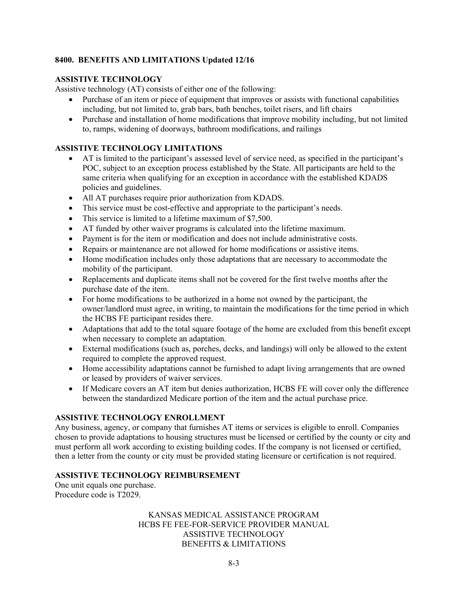#### **ASSISTIVE TECHNOLOGY**

Assistive technology (AT) consists of either one of the following:

- Purchase of an item or piece of equipment that improves or assists with functional capabilities including, but not limited to, grab bars, bath benches, toilet risers, and lift chairs
- Purchase and installation of home modifications that improve mobility including, but not limited to, ramps, widening of doorways, bathroom modifications, and railings

#### **ASSISTIVE TECHNOLOGY LIMITATIONS**

- AT is limited to the participant's assessed level of service need, as specified in the participant's POC, subject to an exception process established by the State. All participants are held to the same criteria when qualifying for an exception in accordance with the established KDADS policies and guidelines.
- All AT purchases require prior authorization from KDADS.
- This service must be cost-effective and appropriate to the participant's needs.
- This service is limited to a lifetime maximum of \$7,500.
- AT funded by other waiver programs is calculated into the lifetime maximum.
- Payment is for the item or modification and does not include administrative costs.
- Repairs or maintenance are not allowed for home modifications or assistive items.
- Home modification includes only those adaptations that are necessary to accommodate the mobility of the participant.
- Replacements and duplicate items shall not be covered for the first twelve months after the purchase date of the item.
- For home modifications to be authorized in a home not owned by the participant, the owner/landlord must agree, in writing, to maintain the modifications for the time period in which the HCBS FE participant resides there.
- Adaptations that add to the total square footage of the home are excluded from this benefit except when necessary to complete an adaptation.
- External modifications (such as, porches, decks, and landings) will only be allowed to the extent required to complete the approved request.
- Home accessibility adaptations cannot be furnished to adapt living arrangements that are owned or leased by providers of waiver services.
- If Medicare covers an AT item but denies authorization, HCBS FE will cover only the difference between the standardized Medicare portion of the item and the actual purchase price.

#### **ASSISTIVE TECHNOLOGY ENROLLMENT**

Any business, agency, or company that furnishes AT items or services is eligible to enroll. Companies chosen to provide adaptations to housing structures must be licensed or certified by the county or city and must perform all work according to existing building codes. If the company is not licensed or certified, then a letter from the county or city must be provided stating licensure or certification is not required.

#### **ASSISTIVE TECHNOLOGY REIMBURSEMENT**

One unit equals one purchase. Procedure code is T2029.

> KANSAS MEDICAL ASSISTANCE PROGRAM HCBS FE FEE-FOR-SERVICE PROVIDER MANUAL ASSISTIVE TECHNOLOGY BENEFITS & LIMITATIONS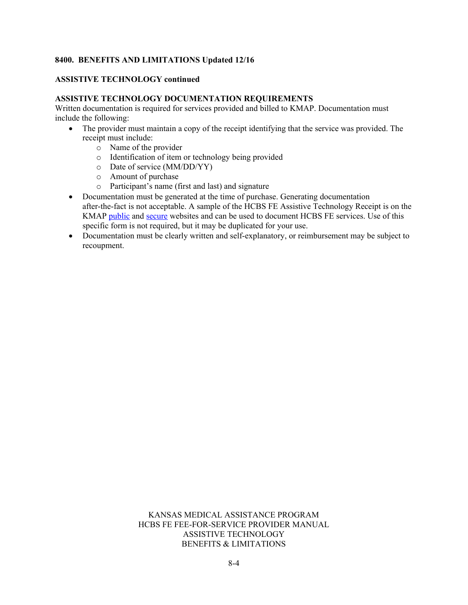#### **ASSISTIVE TECHNOLOGY continued**

#### **ASSISTIVE TECHNOLOGY DOCUMENTATION REQUIREMENTS**

Written documentation is required for services provided and billed to KMAP. Documentation must include the following:

- The provider must maintain a copy of the receipt identifying that the service was provided. The receipt must include:
	- o Name of the provider
	- o Identification of item or technology being provided
	- o Date of service (MM/DD/YY)
	- o Amount of purchase
	- o Participant's name (first and last) and signature
- Documentation must be generated at the time of purchase. Generating documentation after-the-fact is not acceptable. A sample of the HCBS FE Assistive Technology Receipt is on the KMAP [public](https://www.kmap-state-ks.us/Public/forms.asp) and [secure](https://www.kmap-state-ks.us/provider/security/logon.asp) websites and can be used to document HCBS FE services. Use of this specific form is not required, but it may be duplicated for your use.
- Documentation must be clearly written and self-explanatory, or reimbursement may be subject to recoupment.

#### KANSAS MEDICAL ASSISTANCE PROGRAM HCBS FE FEE-FOR-SERVICE PROVIDER MANUAL ASSISTIVE TECHNOLOGY BENEFITS & LIMITATIONS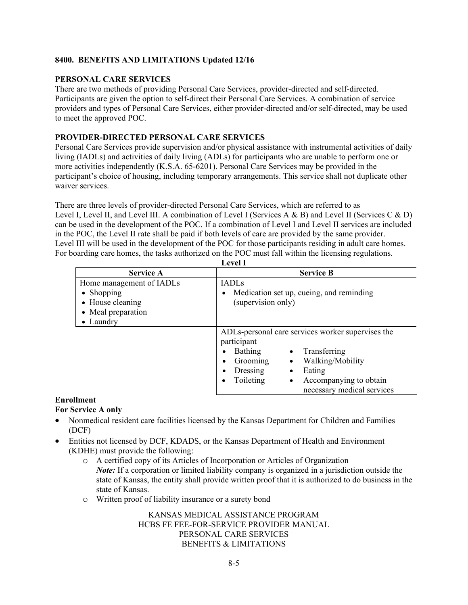#### **PERSONAL CARE SERVICES**

There are two methods of providing Personal Care Services, provider-directed and self-directed. Participants are given the option to self-direct their Personal Care Services. A combination of service providers and types of Personal Care Services, either provider-directed and/or self-directed, may be used to meet the approved POC.

#### **PROVIDER-DIRECTED PERSONAL CARE SERVICES**

Personal Care Services provide supervision and/or physical assistance with instrumental activities of daily living (IADLs) and activities of daily living (ADLs) for participants who are unable to perform one or more activities independently (K.S.A. 65-6201). Personal Care Services may be provided in the participant's choice of housing, including temporary arrangements. This service shall not duplicate other waiver services.

There are three levels of provider-directed Personal Care Services, which are referred to as Level I, Level II, and Level III. A combination of Level I (Services A & B) and Level II (Services C & D) can be used in the development of the POC. If a combination of Level I and Level II services are included in the POC, the Level II rate shall be paid if both levels of care are provided by the same provider. Level III will be used in the development of the POC for those participants residing in adult care homes. For boarding care homes, the tasks authorized on the POC must fall within the licensing regulations.

| <b>Service A</b>                                                                                      | <b>Service B</b>                                                                                                                                                                                                                                              |  |  |  |  |
|-------------------------------------------------------------------------------------------------------|---------------------------------------------------------------------------------------------------------------------------------------------------------------------------------------------------------------------------------------------------------------|--|--|--|--|
| Home management of IADLs<br>$\bullet$ Shopping<br>• House cleaning<br>• Meal preparation<br>• Laundry | <b>IADLs</b><br>Medication set up, cueing, and reminding<br>$\bullet$<br>(supervision only)                                                                                                                                                                   |  |  |  |  |
|                                                                                                       | ADLs-personal care services worker supervises the<br>participant<br>Bathing<br>Transferring<br>Walking/Mobility<br>Grooming<br>$\bullet$<br>$\bullet$<br>Dressing<br>Eating<br>$\bullet$<br>Accompanying to obtain<br>Toileting<br>necessary medical services |  |  |  |  |

**Level I**

#### **Enrollment**

# **For Service A only**

- Nonmedical resident care facilities licensed by the Kansas Department for Children and Families (DCF)
- Entities not licensed by DCF, KDADS, or the Kansas Department of Health and Environment (KDHE) must provide the following:
	- o A certified copy of its Articles of Incorporation or Articles of Organization *Note:* If a corporation or limited liability company is organized in a jurisdiction outside the state of Kansas, the entity shall provide written proof that it is authorized to do business in the state of Kansas.
	- o Written proof of liability insurance or a surety bond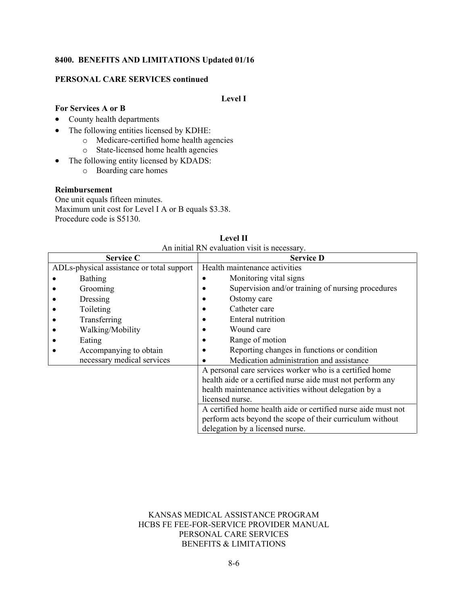#### **PERSONAL CARE SERVICES continued**

# **Level I**

#### **For Services A or B**

#### • County health departments

- The following entities licensed by KDHE:
	- o Medicare-certified home health agencies
	- o State-licensed home health agencies
- The following entity licensed by KDADS: o Boarding care homes

#### **Reimbursement**

One unit equals fifteen minutes. Maximum unit cost for Level I A or B equals \$3.38. Procedure code is S5130.

| An initial RN evaluation visit is necessary.            |                                                               |  |  |  |
|---------------------------------------------------------|---------------------------------------------------------------|--|--|--|
| <b>Service C</b>                                        | <b>Service D</b>                                              |  |  |  |
| ADLs-physical assistance or total support               | Health maintenance activities                                 |  |  |  |
| Bathing                                                 | Monitoring vital signs                                        |  |  |  |
| Grooming                                                | Supervision and/or training of nursing procedures             |  |  |  |
| Dressing                                                | Ostomy care                                                   |  |  |  |
| Toileting                                               | Catheter care                                                 |  |  |  |
| Transferring                                            | Enteral nutrition                                             |  |  |  |
| Walking/Mobility                                        | Wound care                                                    |  |  |  |
| Eating                                                  | Range of motion                                               |  |  |  |
| Accompanying to obtain                                  | Reporting changes in functions or condition                   |  |  |  |
| necessary medical services                              | Medication administration and assistance                      |  |  |  |
| A personal care services worker who is a certified home |                                                               |  |  |  |
|                                                         | health aide or a certified nurse aide must not perform any    |  |  |  |
|                                                         | health maintenance activities without delegation by a         |  |  |  |
| licensed nurse.                                         |                                                               |  |  |  |
|                                                         | A certified home health aide or certified nurse aide must not |  |  |  |
|                                                         | perform acts beyond the scope of their curriculum without     |  |  |  |
|                                                         | delegation by a licensed nurse.                               |  |  |  |

| <b>Level II</b>                            |  |  |  |  |  |  |
|--------------------------------------------|--|--|--|--|--|--|
| n initial DN evaluation vigit is necessary |  |  |  |  |  |  |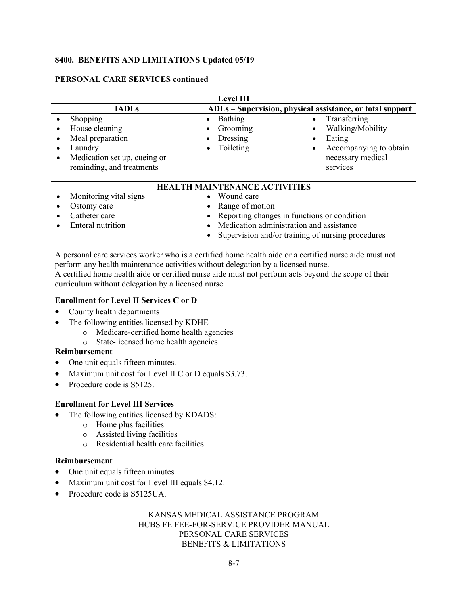#### **PERSONAL CARE SERVICES continued**

| <b>Level III</b>                     |                                                                                                                        |                                                                                                                                                                                                                |  |  |
|--------------------------------------|------------------------------------------------------------------------------------------------------------------------|----------------------------------------------------------------------------------------------------------------------------------------------------------------------------------------------------------------|--|--|
|                                      | <b>IADLs</b>                                                                                                           | ADLs – Supervision, physical assistance, or total support                                                                                                                                                      |  |  |
| $\bullet$<br>٠<br>٠<br>$\bullet$     | Shopping<br>House cleaning<br>Meal preparation<br>Laundry<br>Medication set up, cueing or<br>reminding, and treatments | Bathing<br>Transferring<br>$\bullet$<br>Walking/Mobility<br>Grooming<br>$\bullet$<br>٠<br>Dressing<br>Eating<br>Toileting<br>Accompanying to obtain<br>$\bullet$<br>$\bullet$<br>necessary medical<br>services |  |  |
| <b>HEALTH MAINTENANCE ACTIVITIES</b> |                                                                                                                        |                                                                                                                                                                                                                |  |  |
|                                      | Monitoring vital signs                                                                                                 | Wound care                                                                                                                                                                                                     |  |  |
|                                      | Ostomy care                                                                                                            | Range of motion                                                                                                                                                                                                |  |  |
|                                      | Catheter care                                                                                                          | Reporting changes in functions or condition                                                                                                                                                                    |  |  |
|                                      | Enteral nutrition                                                                                                      | Medication administration and assistance                                                                                                                                                                       |  |  |
|                                      |                                                                                                                        | Supervision and/or training of nursing procedures                                                                                                                                                              |  |  |

A personal care services worker who is a certified home health aide or a certified nurse aide must not perform any health maintenance activities without delegation by a licensed nurse.

A certified home health aide or certified nurse aide must not perform acts beyond the scope of their curriculum without delegation by a licensed nurse.

#### **Enrollment for Level II Services C or D**

- County health departments
- The following entities licensed by KDHE
	- o Medicare-certified home health agencies
	- o State-licensed home health agencies

#### **Reimbursement**

- One unit equals fifteen minutes.
- Maximum unit cost for Level II C or D equals \$3.73.
- Procedure code is S5125.

#### **Enrollment for Level III Services**

- The following entities licensed by KDADS:
	- o Home plus facilities
	- o Assisted living facilities
	- o Residential health care facilities

#### **Reimbursement**

- One unit equals fifteen minutes.
- Maximum unit cost for Level III equals \$4.12.
- Procedure code is S5125UA.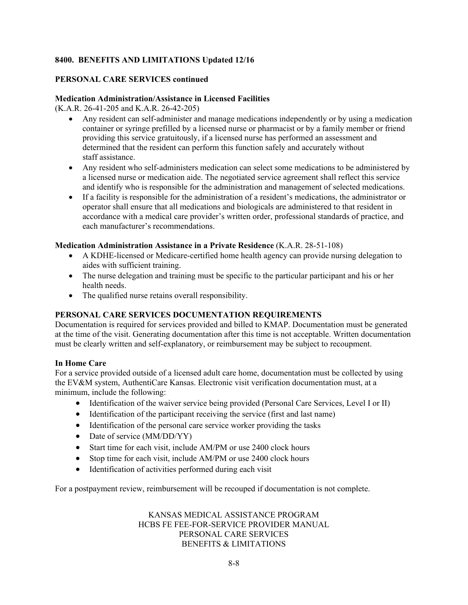#### **PERSONAL CARE SERVICES continued**

#### **Medication Administration/Assistance in Licensed Facilities**

(K.A.R. 26-41-205 and K.A.R. 26-42-205)

- Any resident can self-administer and manage medications independently or by using a medication container or syringe prefilled by a licensed nurse or pharmacist or by a family member or friend providing this service gratuitously, if a licensed nurse has performed an assessment and determined that the resident can perform this function safely and accurately without staff assistance.
- Any resident who self-administers medication can select some medications to be administered by a licensed nurse or medication aide. The negotiated service agreement shall reflect this service and identify who is responsible for the administration and management of selected medications.
- If a facility is responsible for the administration of a resident's medications, the administrator or operator shall ensure that all medications and biologicals are administered to that resident in accordance with a medical care provider's written order, professional standards of practice, and each manufacturer's recommendations.

#### **Medication Administration Assistance in a Private Residence** (K.A.R. 28-51-108)

- A KDHE-licensed or Medicare-certified home health agency can provide nursing delegation to aides with sufficient training.
- The nurse delegation and training must be specific to the particular participant and his or her health needs.
- The qualified nurse retains overall responsibility.

# **PERSONAL CARE SERVICES DOCUMENTATION REQUIREMENTS**

Documentation is required for services provided and billed to KMAP. Documentation must be generated at the time of the visit. Generating documentation after this time is not acceptable. Written documentation must be clearly written and self-explanatory, or reimbursement may be subject to recoupment.

#### **In Home Care**

For a service provided outside of a licensed adult care home, documentation must be collected by using the EV&M system, AuthentiCare Kansas. Electronic visit verification documentation must, at a minimum, include the following:

- Identification of the waiver service being provided (Personal Care Services, Level I or II)
- Identification of the participant receiving the service (first and last name)
- Identification of the personal care service worker providing the tasks
- Date of service (MM/DD/YY)
- Start time for each visit, include AM/PM or use 2400 clock hours
- Stop time for each visit, include AM/PM or use 2400 clock hours
- Identification of activities performed during each visit

For a postpayment review, reimbursement will be recouped if documentation is not complete.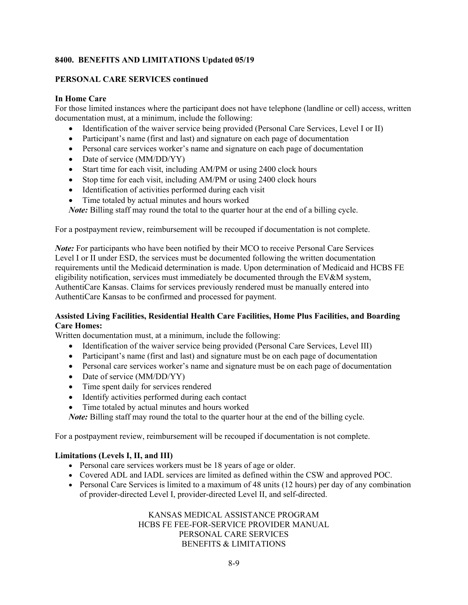#### **PERSONAL CARE SERVICES continued**

#### **In Home Care**

For those limited instances where the participant does not have telephone (landline or cell) access, written documentation must, at a minimum, include the following:

- Identification of the waiver service being provided (Personal Care Services, Level I or II)
- Participant's name (first and last) and signature on each page of documentation
- Personal care services worker's name and signature on each page of documentation
- Date of service (MM/DD/YY)
- Start time for each visit, including AM/PM or using 2400 clock hours
- Stop time for each visit, including AM/PM or using 2400 clock hours
- Identification of activities performed during each visit
- Time totaled by actual minutes and hours worked

*Note:* Billing staff may round the total to the quarter hour at the end of a billing cycle.

For a postpayment review, reimbursement will be recouped if documentation is not complete.

*Note:* For participants who have been notified by their MCO to receive Personal Care Services Level I or II under ESD, the services must be documented following the written documentation requirements until the Medicaid determination is made. Upon determination of Medicaid and HCBS FE eligibility notification, services must immediately be documented through the EV&M system, AuthentiCare Kansas. Claims for services previously rendered must be manually entered into AuthentiCare Kansas to be confirmed and processed for payment.

#### **Assisted Living Facilities, Residential Health Care Facilities, Home Plus Facilities, and Boarding Care Homes:**

Written documentation must, at a minimum, include the following:

- Identification of the waiver service being provided (Personal Care Services, Level III)
- Participant's name (first and last) and signature must be on each page of documentation
- Personal care services worker's name and signature must be on each page of documentation
- Date of service (MM/DD/YY)
- Time spent daily for services rendered
- Identify activities performed during each contact
- Time totaled by actual minutes and hours worked

*Note:* Billing staff may round the total to the quarter hour at the end of the billing cycle.

For a postpayment review, reimbursement will be recouped if documentation is not complete.

#### **Limitations (Levels I, II, and III)**

- Personal care services workers must be 18 years of age or older.
- Covered ADL and IADL services are limited as defined within the CSW and approved POC.
- Personal Care Services is limited to a maximum of 48 units (12 hours) per day of any combination of provider-directed Level I, provider-directed Level II, and self-directed.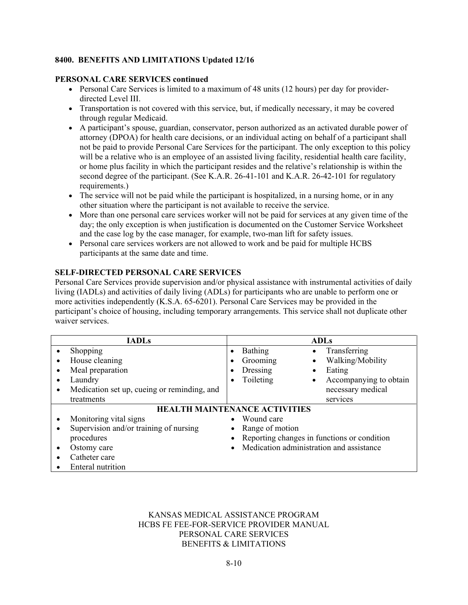#### **PERSONAL CARE SERVICES continued**

- Personal Care Services is limited to a maximum of 48 units (12 hours) per day for providerdirected Level III.
- Transportation is not covered with this service, but, if medically necessary, it may be covered through regular Medicaid.
- A participant's spouse, guardian, conservator, person authorized as an activated durable power of attorney (DPOA) for health care decisions, or an individual acting on behalf of a participant shall not be paid to provide Personal Care Services for the participant. The only exception to this policy will be a relative who is an employee of an assisted living facility, residential health care facility, or home plus facility in which the participant resides and the relative's relationship is within the second degree of the participant. (See K.A.R. 26-41-101 and K.A.R. 26-42-101 for regulatory requirements.)
- The service will not be paid while the participant is hospitalized, in a nursing home, or in any other situation where the participant is not available to receive the service.
- More than one personal care services worker will not be paid for services at any given time of the day; the only exception is when justification is documented on the Customer Service Worksheet and the case log by the case manager, for example, two-man lift for safety issues.
- Personal care services workers are not allowed to work and be paid for multiple HCBS participants at the same date and time.

# **SELF-DIRECTED PERSONAL CARE SERVICES**

Personal Care Services provide supervision and/or physical assistance with instrumental activities of daily living (IADLs) and activities of daily living (ADLs) for participants who are unable to perform one or more activities independently (K.S.A. 65-6201). Personal Care Services may be provided in the participant's choice of housing, including temporary arrangements. This service shall not duplicate other waiver services.

|           | <b>IADLs</b>                                |  |                                             | <b>ADLs</b> |                        |
|-----------|---------------------------------------------|--|---------------------------------------------|-------------|------------------------|
| $\bullet$ | Shopping                                    |  | Bathing                                     | $\bullet$   | Transferring           |
| $\bullet$ | House cleaning                              |  | Grooming                                    | $\bullet$   | Walking/Mobility       |
|           | Meal preparation                            |  | Dressing                                    |             | Eating                 |
| $\bullet$ | Laundry                                     |  | Toileting                                   | $\bullet$   | Accompanying to obtain |
| ٠         | Medication set up, cueing or reminding, and |  |                                             |             | necessary medical      |
|           | treatments                                  |  |                                             |             | services               |
|           | <b>HEALTH MAINTENANCE ACTIVITIES</b>        |  |                                             |             |                        |
|           | Monitoring vital signs                      |  | Wound care                                  |             |                        |
| ٠         | Supervision and/or training of nursing      |  | Range of motion                             |             |                        |
|           | procedures                                  |  | Reporting changes in functions or condition |             |                        |
|           | Ostomy care                                 |  | • Medication administration and assistance  |             |                        |
|           | Catheter care                               |  |                                             |             |                        |
|           | Enteral nutrition                           |  |                                             |             |                        |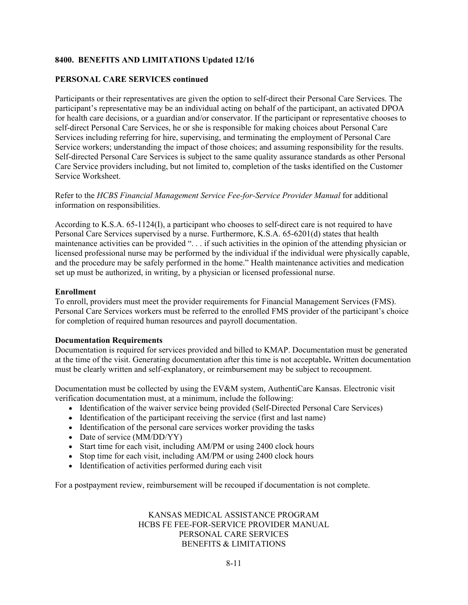#### **PERSONAL CARE SERVICES continued**

Participants or their representatives are given the option to self-direct their Personal Care Services. The participant's representative may be an individual acting on behalf of the participant, an activated DPOA for health care decisions, or a guardian and/or conservator. If the participant or representative chooses to self-direct Personal Care Services, he or she is responsible for making choices about Personal Care Services including referring for hire, supervising, and terminating the employment of Personal Care Service workers; understanding the impact of those choices; and assuming responsibility for the results. Self-directed Personal Care Services is subject to the same quality assurance standards as other Personal Care Service providers including, but not limited to, completion of the tasks identified on the Customer Service Worksheet.

Refer to the *HCBS Financial Management Service Fee-for-Service Provider Manual* for additional information on responsibilities.

According to K.S.A. 65-1124(I), a participant who chooses to self-direct care is not required to have Personal Care Services supervised by a nurse. Furthermore, K.S.A. 65-6201(d) states that health maintenance activities can be provided ". . . if such activities in the opinion of the attending physician or licensed professional nurse may be performed by the individual if the individual were physically capable, and the procedure may be safely performed in the home." Health maintenance activities and medication set up must be authorized, in writing, by a physician or licensed professional nurse.

#### **Enrollment**

To enroll, providers must meet the provider requirements for Financial Management Services (FMS). Personal Care Services workers must be referred to the enrolled FMS provider of the participant's choice for completion of required human resources and payroll documentation.

#### **Documentation Requirements**

Documentation is required for services provided and billed to KMAP. Documentation must be generated at the time of the visit. Generating documentation after this time is not acceptable**.** Written documentation must be clearly written and self-explanatory, or reimbursement may be subject to recoupment.

Documentation must be collected by using the EV&M system, AuthentiCare Kansas. Electronic visit verification documentation must, at a minimum, include the following:

- Identification of the waiver service being provided (Self-Directed Personal Care Services)
- Identification of the participant receiving the service (first and last name)
- Identification of the personal care services worker providing the tasks
- Date of service (MM/DD/YY)
- Start time for each visit, including AM/PM or using 2400 clock hours
- Stop time for each visit, including AM/PM or using 2400 clock hours
- Identification of activities performed during each visit

For a postpayment review, reimbursement will be recouped if documentation is not complete.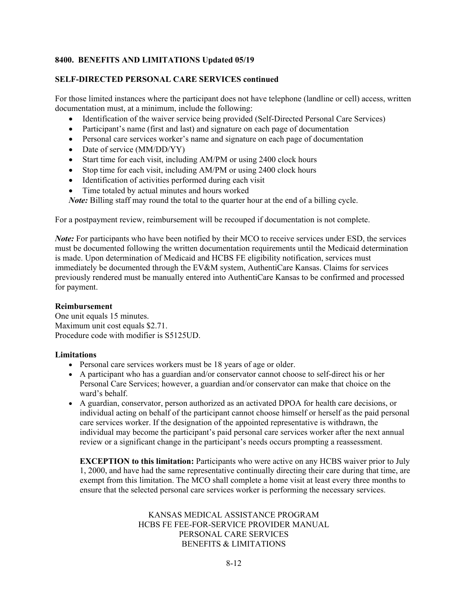#### **SELF-DIRECTED PERSONAL CARE SERVICES continued**

For those limited instances where the participant does not have telephone (landline or cell) access, written documentation must, at a minimum, include the following:

- Identification of the waiver service being provided (Self-Directed Personal Care Services)
- Participant's name (first and last) and signature on each page of documentation
- Personal care services worker's name and signature on each page of documentation
- Date of service (MM/DD/YY)
- Start time for each visit, including AM/PM or using 2400 clock hours
- Stop time for each visit, including AM/PM or using 2400 clock hours
- Identification of activities performed during each visit
- Time totaled by actual minutes and hours worked

*Note:* Billing staff may round the total to the quarter hour at the end of a billing cycle.

For a postpayment review, reimbursement will be recouped if documentation is not complete.

*Note:* For participants who have been notified by their MCO to receive services under ESD, the services must be documented following the written documentation requirements until the Medicaid determination is made. Upon determination of Medicaid and HCBS FE eligibility notification, services must immediately be documented through the EV&M system, AuthentiCare Kansas. Claims for services previously rendered must be manually entered into AuthentiCare Kansas to be confirmed and processed for payment.

#### **Reimbursement**

One unit equals 15 minutes. Maximum unit cost equals \$2.71. Procedure code with modifier is S5125UD.

#### **Limitations**

- Personal care services workers must be 18 years of age or older.
- A participant who has a guardian and/or conservator cannot choose to self-direct his or her Personal Care Services; however, a guardian and/or conservator can make that choice on the ward's behalf.
- A guardian, conservator, person authorized as an activated DPOA for health care decisions, or individual acting on behalf of the participant cannot choose himself or herself as the paid personal care services worker. If the designation of the appointed representative is withdrawn, the individual may become the participant's paid personal care services worker after the next annual review or a significant change in the participant's needs occurs prompting a reassessment.

**EXCEPTION to this limitation:** Participants who were active on any HCBS waiver prior to July 1, 2000, and have had the same representative continually directing their care during that time, are exempt from this limitation. The MCO shall complete a home visit at least every three months to ensure that the selected personal care services worker is performing the necessary services.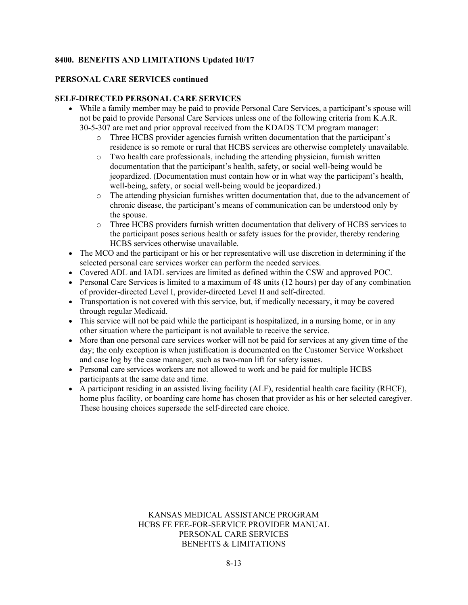#### **PERSONAL CARE SERVICES continued**

#### **SELF-DIRECTED PERSONAL CARE SERVICES**

- While a family member may be paid to provide Personal Care Services, a participant's spouse will not be paid to provide Personal Care Services unless one of the following criteria from K.A.R. 30-5-307 are met and prior approval received from the KDADS TCM program manager:
	- o Three HCBS provider agencies furnish written documentation that the participant's residence is so remote or rural that HCBS services are otherwise completely unavailable.
	- o Two health care professionals, including the attending physician, furnish written documentation that the participant's health, safety, or social well-being would be jeopardized. (Documentation must contain how or in what way the participant's health, well-being, safety, or social well-being would be jeopardized.)
	- o The attending physician furnishes written documentation that, due to the advancement of chronic disease, the participant's means of communication can be understood only by the spouse.
	- o Three HCBS providers furnish written documentation that delivery of HCBS services to the participant poses serious health or safety issues for the provider, thereby rendering HCBS services otherwise unavailable.
- The MCO and the participant or his or her representative will use discretion in determining if the selected personal care services worker can perform the needed services.
- Covered ADL and IADL services are limited as defined within the CSW and approved POC.
- Personal Care Services is limited to a maximum of 48 units (12 hours) per day of any combination of provider-directed Level I, provider-directed Level II and self-directed.
- Transportation is not covered with this service, but, if medically necessary, it may be covered through regular Medicaid.
- This service will not be paid while the participant is hospitalized, in a nursing home, or in any other situation where the participant is not available to receive the service.
- More than one personal care services worker will not be paid for services at any given time of the day; the only exception is when justification is documented on the Customer Service Worksheet and case log by the case manager, such as two-man lift for safety issues.
- Personal care services workers are not allowed to work and be paid for multiple HCBS participants at the same date and time.
- A participant residing in an assisted living facility (ALF), residential health care facility (RHCF), home plus facility, or boarding care home has chosen that provider as his or her selected caregiver. These housing choices supersede the self-directed care choice.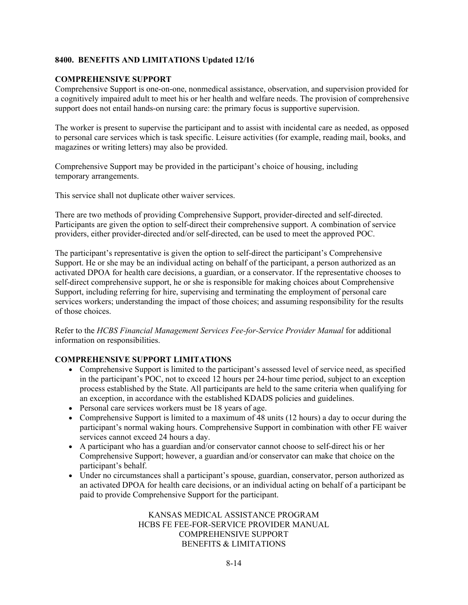#### **COMPREHENSIVE SUPPORT**

Comprehensive Support is one-on-one, nonmedical assistance, observation, and supervision provided for a cognitively impaired adult to meet his or her health and welfare needs. The provision of comprehensive support does not entail hands-on nursing care: the primary focus is supportive supervision.

The worker is present to supervise the participant and to assist with incidental care as needed, as opposed to personal care services which is task specific. Leisure activities (for example, reading mail, books, and magazines or writing letters) may also be provided.

Comprehensive Support may be provided in the participant's choice of housing, including temporary arrangements.

This service shall not duplicate other waiver services.

There are two methods of providing Comprehensive Support, provider-directed and self-directed. Participants are given the option to self-direct their comprehensive support. A combination of service providers, either provider-directed and/or self-directed, can be used to meet the approved POC.

The participant's representative is given the option to self-direct the participant's Comprehensive Support. He or she may be an individual acting on behalf of the participant, a person authorized as an activated DPOA for health care decisions, a guardian, or a conservator. If the representative chooses to self-direct comprehensive support, he or she is responsible for making choices about Comprehensive Support, including referring for hire, supervising and terminating the employment of personal care services workers; understanding the impact of those choices; and assuming responsibility for the results of those choices.

Refer to the *HCBS Financial Management Services Fee-for-Service Provider Manual* for additional information on responsibilities.

#### **COMPREHENSIVE SUPPORT LIMITATIONS**

- Comprehensive Support is limited to the participant's assessed level of service need, as specified in the participant's POC, not to exceed 12 hours per 24-hour time period, subject to an exception process established by the State. All participants are held to the same criteria when qualifying for an exception, in accordance with the established KDADS policies and guidelines.
- Personal care services workers must be 18 years of age.
- Comprehensive Support is limited to a maximum of 48 units (12 hours) a day to occur during the participant's normal waking hours. Comprehensive Support in combination with other FE waiver services cannot exceed 24 hours a day.
- A participant who has a guardian and/or conservator cannot choose to self-direct his or her Comprehensive Support; however, a guardian and/or conservator can make that choice on the participant's behalf.
- Under no circumstances shall a participant's spouse, guardian, conservator, person authorized as an activated DPOA for health care decisions, or an individual acting on behalf of a participant be paid to provide Comprehensive Support for the participant.

KANSAS MEDICAL ASSISTANCE PROGRAM HCBS FE FEE-FOR-SERVICE PROVIDER MANUAL COMPREHENSIVE SUPPORT BENEFITS & LIMITATIONS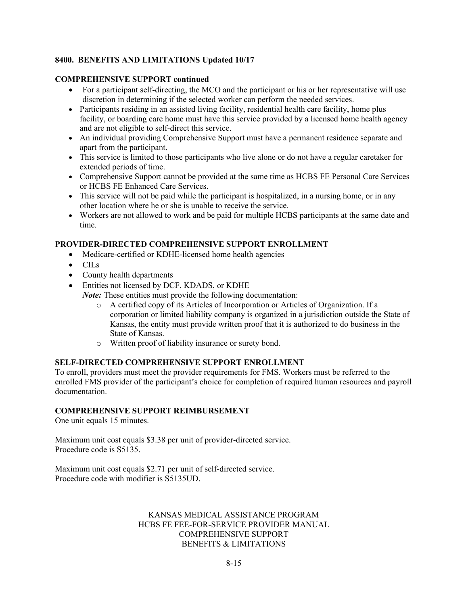#### **COMPREHENSIVE SUPPORT continued**

- For a participant self-directing, the MCO and the participant or his or her representative will use discretion in determining if the selected worker can perform the needed services.
- Participants residing in an assisted living facility, residential health care facility, home plus facility, or boarding care home must have this service provided by a licensed home health agency and are not eligible to self-direct this service.
- An individual providing Comprehensive Support must have a permanent residence separate and apart from the participant.
- This service is limited to those participants who live alone or do not have a regular caretaker for extended periods of time.
- Comprehensive Support cannot be provided at the same time as HCBS FE Personal Care Services or HCBS FE Enhanced Care Services.
- This service will not be paid while the participant is hospitalized, in a nursing home, or in any other location where he or she is unable to receive the service.
- Workers are not allowed to work and be paid for multiple HCBS participants at the same date and time.

# **PROVIDER-DIRECTED COMPREHENSIVE SUPPORT ENROLLMENT**

- Medicare-certified or KDHE-licensed home health agencies
- CILs
- County health departments
- Entities not licensed by DCF, KDADS, or KDHE *Note:* These entities must provide the following documentation:
	- o A certified copy of its Articles of Incorporation or Articles of Organization. If a corporation or limited liability company is organized in a jurisdiction outside the State of Kansas, the entity must provide written proof that it is authorized to do business in the State of Kansas.
	- o Written proof of liability insurance or surety bond.

#### **SELF-DIRECTED COMPREHENSIVE SUPPORT ENROLLMENT**

To enroll, providers must meet the provider requirements for FMS. Workers must be referred to the enrolled FMS provider of the participant's choice for completion of required human resources and payroll documentation.

#### **COMPREHENSIVE SUPPORT REIMBURSEMENT**

One unit equals 15 minutes.

Maximum unit cost equals \$3.38 per unit of provider-directed service. Procedure code is S5135.

Maximum unit cost equals \$2.71 per unit of self-directed service. Procedure code with modifier is S5135UD.

#### KANSAS MEDICAL ASSISTANCE PROGRAM HCBS FE FEE-FOR-SERVICE PROVIDER MANUAL COMPREHENSIVE SUPPORT BENEFITS & LIMITATIONS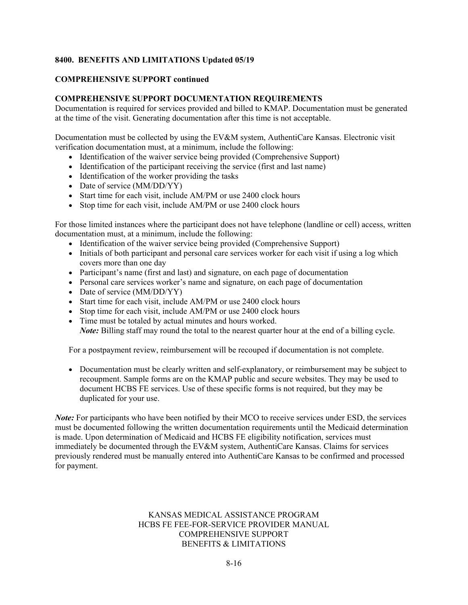#### **COMPREHENSIVE SUPPORT continued**

# **COMPREHENSIVE SUPPORT DOCUMENTATION REQUIREMENTS**

Documentation is required for services provided and billed to KMAP. Documentation must be generated at the time of the visit. Generating documentation after this time is not acceptable.

Documentation must be collected by using the EV&M system, AuthentiCare Kansas. Electronic visit verification documentation must, at a minimum, include the following:

- Identification of the waiver service being provided (Comprehensive Support)
- Identification of the participant receiving the service (first and last name)
- Identification of the worker providing the tasks
- Date of service  $(MM/DD/Y\Y)$
- Start time for each visit, include AM/PM or use 2400 clock hours
- Stop time for each visit, include AM/PM or use 2400 clock hours

For those limited instances where the participant does not have telephone (landline or cell) access, written documentation must, at a minimum, include the following:

- Identification of the waiver service being provided (Comprehensive Support)
- Initials of both participant and personal care services worker for each visit if using a log which covers more than one day
- Participant's name (first and last) and signature, on each page of documentation
- Personal care services worker's name and signature, on each page of documentation
- Date of service (MM/DD/YY)
- Start time for each visit, include AM/PM or use 2400 clock hours
- Stop time for each visit, include AM/PM or use 2400 clock hours
- Time must be totaled by actual minutes and hours worked.

*Note:* Billing staff may round the total to the nearest quarter hour at the end of a billing cycle.

For a postpayment review, reimbursement will be recouped if documentation is not complete.

• Documentation must be clearly written and self-explanatory, or reimbursement may be subject to recoupment. Sample forms are on the KMAP public and secure websites. They may be used to document HCBS FE services. Use of these specific forms is not required, but they may be duplicated for your use.

*Note:* For participants who have been notified by their MCO to receive services under ESD, the services must be documented following the written documentation requirements until the Medicaid determination is made. Upon determination of Medicaid and HCBS FE eligibility notification, services must immediately be documented through the EV&M system, AuthentiCare Kansas. Claims for services previously rendered must be manually entered into AuthentiCare Kansas to be confirmed and processed for payment.

#### KANSAS MEDICAL ASSISTANCE PROGRAM HCBS FE FEE-FOR-SERVICE PROVIDER MANUAL COMPREHENSIVE SUPPORT BENEFITS & LIMITATIONS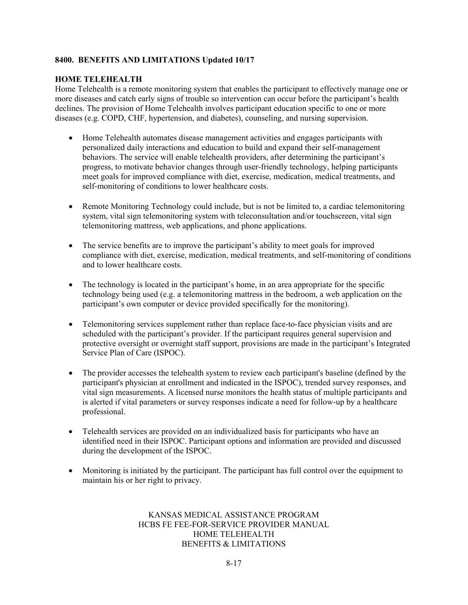#### **HOME TELEHEALTH**

Home Telehealth is a remote monitoring system that enables the participant to effectively manage one or more diseases and catch early signs of trouble so intervention can occur before the participant's health declines. The provision of Home Telehealth involves participant education specific to one or more diseases (e.g. COPD, CHF, hypertension, and diabetes), counseling, and nursing supervision.

- Home Telehealth automates disease management activities and engages participants with personalized daily interactions and education to build and expand their self-management behaviors. The service will enable telehealth providers, after determining the participant's progress, to motivate behavior changes through user-friendly technology, helping participants meet goals for improved compliance with diet, exercise, medication, medical treatments, and self-monitoring of conditions to lower healthcare costs.
- Remote Monitoring Technology could include, but is not be limited to, a cardiac telemonitoring system, vital sign telemonitoring system with teleconsultation and/or touchscreen, vital sign telemonitoring mattress, web applications, and phone applications.
- The service benefits are to improve the participant's ability to meet goals for improved compliance with diet, exercise, medication, medical treatments, and self-monitoring of conditions and to lower healthcare costs.
- The technology is located in the participant's home, in an area appropriate for the specific technology being used (e.g. a telemonitoring mattress in the bedroom, a web application on the participant's own computer or device provided specifically for the monitoring).
- Telemonitoring services supplement rather than replace face-to-face physician visits and are scheduled with the participant's provider. If the participant requires general supervision and protective oversight or overnight staff support, provisions are made in the participant's Integrated Service Plan of Care (ISPOC).
- The provider accesses the telehealth system to review each participant's baseline (defined by the participant's physician at enrollment and indicated in the ISPOC), trended survey responses, and vital sign measurements. A licensed nurse monitors the health status of multiple participants and is alerted if vital parameters or survey responses indicate a need for follow-up by a healthcare professional.
- Telehealth services are provided on an individualized basis for participants who have an identified need in their ISPOC. Participant options and information are provided and discussed during the development of the ISPOC.
- Monitoring is initiated by the participant. The participant has full control over the equipment to maintain his or her right to privacy.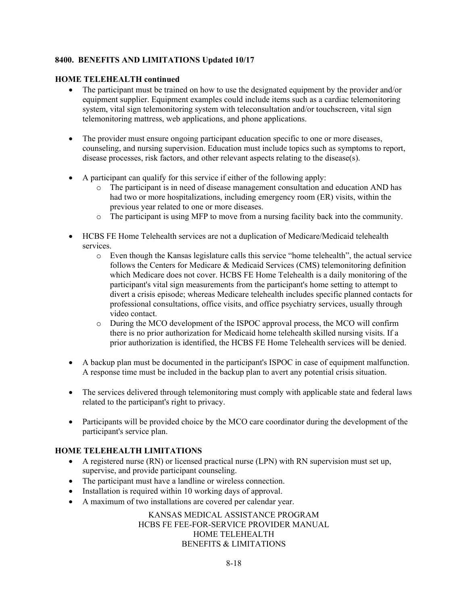#### **HOME TELEHEALTH continued**

- The participant must be trained on how to use the designated equipment by the provider and/or equipment supplier. Equipment examples could include items such as a cardiac telemonitoring system, vital sign telemonitoring system with teleconsultation and/or touchscreen, vital sign telemonitoring mattress, web applications, and phone applications.
- The provider must ensure ongoing participant education specific to one or more diseases, counseling, and nursing supervision. Education must include topics such as symptoms to report, disease processes, risk factors, and other relevant aspects relating to the disease(s).
- A participant can qualify for this service if either of the following apply:
	- o The participant is in need of disease management consultation and education AND has had two or more hospitalizations, including emergency room (ER) visits, within the previous year related to one or more diseases.
	- o The participant is using MFP to move from a nursing facility back into the community.
- HCBS FE Home Telehealth services are not a duplication of Medicare/Medicaid telehealth services.
	- o Even though the Kansas legislature calls this service "home telehealth", the actual service follows the Centers for Medicare & Medicaid Services (CMS) telemonitoring definition which Medicare does not cover. HCBS FE Home Telehealth is a daily monitoring of the participant's vital sign measurements from the participant's home setting to attempt to divert a crisis episode; whereas Medicare telehealth includes specific planned contacts for professional consultations, office visits, and office psychiatry services, usually through video contact.
	- o During the MCO development of the ISPOC approval process, the MCO will confirm there is no prior authorization for Medicaid home telehealth skilled nursing visits. If a prior authorization is identified, the HCBS FE Home Telehealth services will be denied.
- A backup plan must be documented in the participant's ISPOC in case of equipment malfunction. A response time must be included in the backup plan to avert any potential crisis situation.
- The services delivered through telemonitoring must comply with applicable state and federal laws related to the participant's right to privacy.
- Participants will be provided choice by the MCO care coordinator during the development of the participant's service plan.

# **HOME TELEHEALTH LIMITATIONS**

- A registered nurse (RN) or licensed practical nurse (LPN) with RN supervision must set up, supervise, and provide participant counseling.
- The participant must have a landline or wireless connection.
- Installation is required within 10 working days of approval.
- A maximum of two installations are covered per calendar year.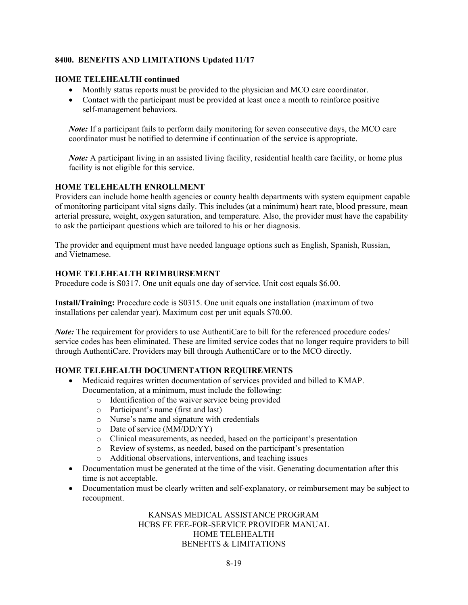#### **HOME TELEHEALTH continued**

- Monthly status reports must be provided to the physician and MCO care coordinator.
- Contact with the participant must be provided at least once a month to reinforce positive self-management behaviors.

*Note:* If a participant fails to perform daily monitoring for seven consecutive days, the MCO care coordinator must be notified to determine if continuation of the service is appropriate.

*Note:* A participant living in an assisted living facility, residential health care facility, or home plus facility is not eligible for this service.

# **HOME TELEHEALTH ENROLLMENT**

Providers can include home health agencies or county health departments with system equipment capable of monitoring participant vital signs daily. This includes (at a minimum) heart rate, blood pressure, mean arterial pressure, weight, oxygen saturation, and temperature. Also, the provider must have the capability to ask the participant questions which are tailored to his or her diagnosis.

The provider and equipment must have needed language options such as English, Spanish, Russian, and Vietnamese.

# **HOME TELEHEALTH REIMBURSEMENT**

Procedure code is S0317. One unit equals one day of service. Unit cost equals \$6.00.

**Install/Training:** Procedure code is S0315. One unit equals one installation (maximum of two installations per calendar year). Maximum cost per unit equals \$70.00.

*Note:* The requirement for providers to use AuthentiCare to bill for the referenced procedure codes/ service codes has been eliminated. These are limited service codes that no longer require providers to bill through AuthentiCare. Providers may bill through AuthentiCare or to the MCO directly.

# **HOME TELEHEALTH DOCUMENTATION REQUIREMENTS**

- Medicaid requires written documentation of services provided and billed to KMAP. Documentation, at a minimum, must include the following:
	- o Identification of the waiver service being provided
	- o Participant's name (first and last)
	- o Nurse's name and signature with credentials
	- o Date of service (MM/DD/YY)
	- o Clinical measurements, as needed, based on the participant's presentation
	- o Review of systems, as needed, based on the participant's presentation
	- o Additional observations, interventions, and teaching issues
- Documentation must be generated at the time of the visit. Generating documentation after this time is not acceptable.
- Documentation must be clearly written and self-explanatory, or reimbursement may be subject to recoupment.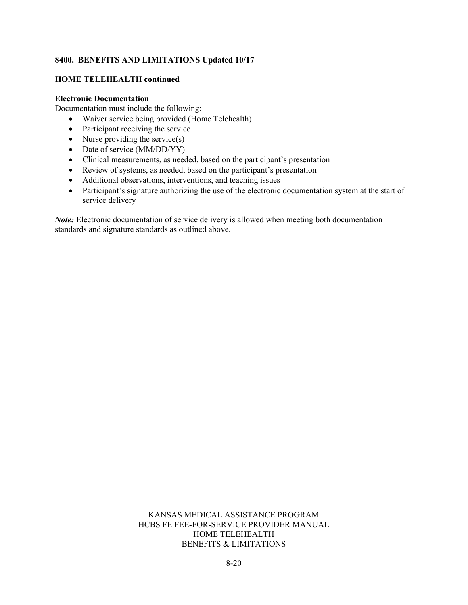#### **HOME TELEHEALTH continued**

#### **Electronic Documentation**

Documentation must include the following:

- Waiver service being provided (Home Telehealth)
- Participant receiving the service
- Nurse providing the service $(s)$
- Date of service (MM/DD/YY)
- Clinical measurements, as needed, based on the participant's presentation
- Review of systems, as needed, based on the participant's presentation
- Additional observations, interventions, and teaching issues
- Participant's signature authorizing the use of the electronic documentation system at the start of service delivery

*Note*: Electronic documentation of service delivery is allowed when meeting both documentation standards and signature standards as outlined above.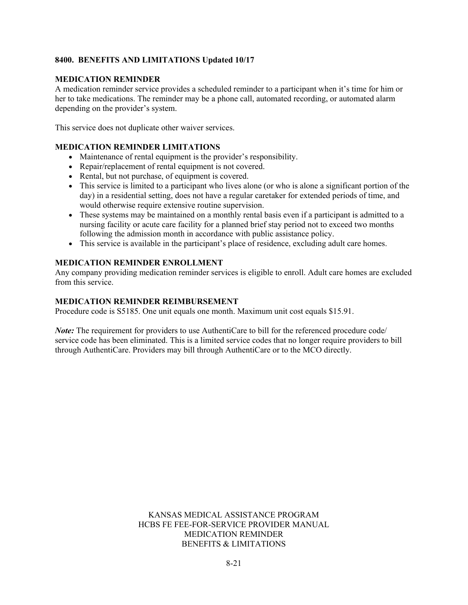#### **MEDICATION REMINDER**

A medication reminder service provides a scheduled reminder to a participant when it's time for him or her to take medications. The reminder may be a phone call, automated recording, or automated alarm depending on the provider's system.

This service does not duplicate other waiver services.

#### **MEDICATION REMINDER LIMITATIONS**

- Maintenance of rental equipment is the provider's responsibility.
- Repair/replacement of rental equipment is not covered.
- Rental, but not purchase, of equipment is covered.
- This service is limited to a participant who lives alone (or who is alone a significant portion of the day) in a residential setting, does not have a regular caretaker for extended periods of time, and would otherwise require extensive routine supervision.
- These systems may be maintained on a monthly rental basis even if a participant is admitted to a nursing facility or acute care facility for a planned brief stay period not to exceed two months following the admission month in accordance with public assistance policy.
- This service is available in the participant's place of residence, excluding adult care homes.

#### **MEDICATION REMINDER ENROLLMENT**

Any company providing medication reminder services is eligible to enroll. Adult care homes are excluded from this service.

#### **MEDICATION REMINDER REIMBURSEMENT**

Procedure code is S5185. One unit equals one month. Maximum unit cost equals \$15.91.

*Note:* The requirement for providers to use AuthentiCare to bill for the referenced procedure code/ service code has been eliminated. This is a limited service codes that no longer require providers to bill through AuthentiCare. Providers may bill through AuthentiCare or to the MCO directly.

> KANSAS MEDICAL ASSISTANCE PROGRAM HCBS FE FEE-FOR-SERVICE PROVIDER MANUAL MEDICATION REMINDER BENEFITS & LIMITATIONS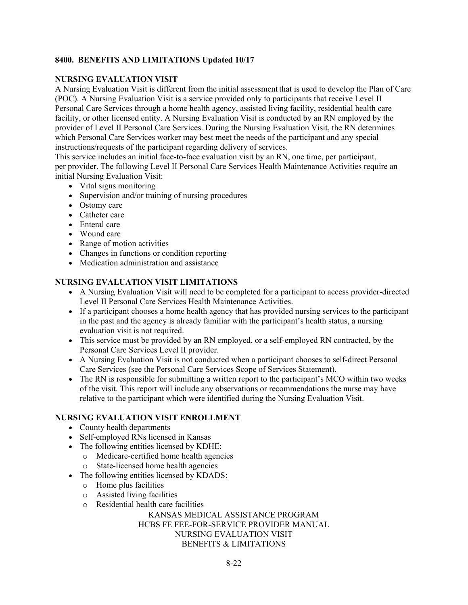#### **NURSING EVALUATION VISIT**

A Nursing Evaluation Visit is different from the initial assessment that is used to develop the Plan of Care (POC). A Nursing Evaluation Visit is a service provided only to participants that receive Level II Personal Care Services through a home health agency, assisted living facility, residential health care facility, or other licensed entity. A Nursing Evaluation Visit is conducted by an RN employed by the provider of Level II Personal Care Services. During the Nursing Evaluation Visit, the RN determines which Personal Care Services worker may best meet the needs of the participant and any special instructions/requests of the participant regarding delivery of services.

This service includes an initial face-to-face evaluation visit by an RN, one time, per participant, per provider. The following Level II Personal Care Services Health Maintenance Activities require an initial Nursing Evaluation Visit:

- Vital signs monitoring
- Supervision and/or training of nursing procedures
- Ostomy care
- Catheter care
- Enteral care
- Wound care
- Range of motion activities
- Changes in functions or condition reporting
- Medication administration and assistance

# **NURSING EVALUATION VISIT LIMITATIONS**

- A Nursing Evaluation Visit will need to be completed for a participant to access provider-directed Level II Personal Care Services Health Maintenance Activities.
- If a participant chooses a home health agency that has provided nursing services to the participant in the past and the agency is already familiar with the participant's health status, a nursing evaluation visit is not required.
- This service must be provided by an RN employed, or a self-employed RN contracted, by the Personal Care Services Level II provider.
- A Nursing Evaluation Visit is not conducted when a participant chooses to self-direct Personal Care Services (see the Personal Care Services Scope of Services Statement).
- The RN is responsible for submitting a written report to the participant's MCO within two weeks of the visit. This report will include any observations or recommendations the nurse may have relative to the participant which were identified during the Nursing Evaluation Visit.

#### **NURSING EVALUATION VISIT ENROLLMENT**

- County health departments
- Self-employed RNs licensed in Kansas
- The following entities licensed by KDHE:
	- o Medicare-certified home health agencies
	- o State-licensed home health agencies
- The following entities licensed by KDADS:
	- o Home plus facilities
	- o Assisted living facilities
	- o Residential health care facilities

#### KANSAS MEDICAL ASSISTANCE PROGRAM HCBS FE FEE-FOR-SERVICE PROVIDER MANUAL NURSING EVALUATION VISIT BENEFITS & LIMITATIONS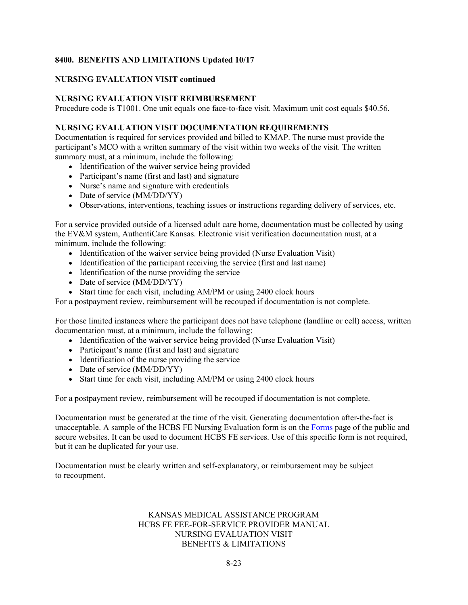#### **NURSING EVALUATION VISIT continued**

#### **NURSING EVALUATION VISIT REIMBURSEMENT**

Procedure code is T1001. One unit equals one face-to-face visit. Maximum unit cost equals \$40.56.

#### **NURSING EVALUATION VISIT DOCUMENTATION REQUIREMENTS**

Documentation is required for services provided and billed to KMAP. The nurse must provide the participant's MCO with a written summary of the visit within two weeks of the visit. The written summary must, at a minimum, include the following:

- Identification of the waiver service being provided
- Participant's name (first and last) and signature
- Nurse's name and signature with credentials
- Date of service (MM/DD/YY)
- Observations, interventions, teaching issues or instructions regarding delivery of services, etc.

For a service provided outside of a licensed adult care home, documentation must be collected by using the EV&M system, AuthentiCare Kansas. Electronic visit verification documentation must, at a minimum, include the following:

- Identification of the waiver service being provided (Nurse Evaluation Visit)
- Identification of the participant receiving the service (first and last name)
- Identification of the nurse providing the service
- Date of service (MM/DD/YY)
- Start time for each visit, including AM/PM or using 2400 clock hours

For a postpayment review, reimbursement will be recouped if documentation is not complete.

For those limited instances where the participant does not have telephone (landline or cell) access, written documentation must, at a minimum, include the following:

- Identification of the waiver service being provided (Nurse Evaluation Visit)
- Participant's name (first and last) and signature
- Identification of the nurse providing the service
- Date of service (MM/DD/YY)
- Start time for each visit, including AM/PM or using 2400 clock hours

For a postpayment review, reimbursement will be recouped if documentation is not complete.

Documentation must be generated at the time of the visit. Generating documentation after-the-fact is unacceptable. A sample of the HCBS FE Nursing Evaluation form is on the [Forms](https://www.kmap-state-ks.us/Public/forms.asp) page of the public and secure websites. It can be used to document HCBS FE services. Use of this specific form is not required, but it can be duplicated for your use.

Documentation must be clearly written and self-explanatory, or reimbursement may be subject to recoupment.

#### KANSAS MEDICAL ASSISTANCE PROGRAM HCBS FE FEE-FOR-SERVICE PROVIDER MANUAL NURSING EVALUATION VISIT BENEFITS & LIMITATIONS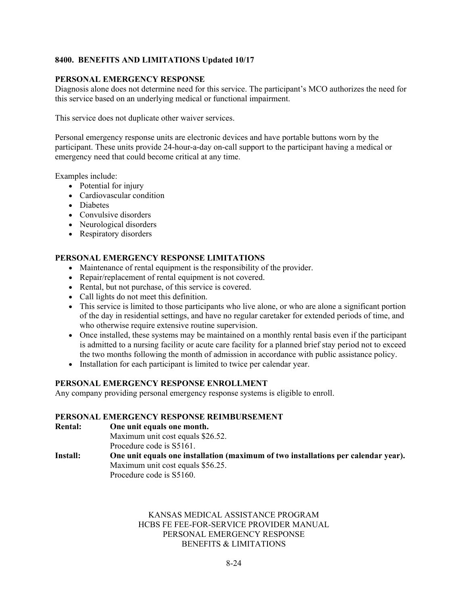#### **PERSONAL EMERGENCY RESPONSE**

Diagnosis alone does not determine need for this service. The participant's MCO authorizes the need for this service based on an underlying medical or functional impairment.

This service does not duplicate other waiver services.

Personal emergency response units are electronic devices and have portable buttons worn by the participant. These units provide 24-hour-a-day on-call support to the participant having a medical or emergency need that could become critical at any time.

Examples include:

- Potential for injury
- Cardiovascular condition
- Diabetes
- Convulsive disorders
- Neurological disorders
- Respiratory disorders

# **PERSONAL EMERGENCY RESPONSE LIMITATIONS**

- Maintenance of rental equipment is the responsibility of the provider.
- Repair/replacement of rental equipment is not covered.
- Rental, but not purchase, of this service is covered.
- Call lights do not meet this definition.
- This service is limited to those participants who live alone, or who are alone a significant portion of the day in residential settings, and have no regular caretaker for extended periods of time, and who otherwise require extensive routine supervision.
- Once installed, these systems may be maintained on a monthly rental basis even if the participant is admitted to a nursing facility or acute care facility for a planned brief stay period not to exceed the two months following the month of admission in accordance with public assistance policy.
- Installation for each participant is limited to twice per calendar year.

#### **PERSONAL EMERGENCY RESPONSE ENROLLMENT**

Any company providing personal emergency response systems is eligible to enroll.

#### **PERSONAL EMERGENCY RESPONSE REIMBURSEMENT**

**Rental: One unit equals one month.**

Maximum unit cost equals \$26.52. Procedure code is S5161.

**Install: One unit equals one installation (maximum of two installations per calendar year).** Maximum unit cost equals \$56.25. Procedure code is S5160.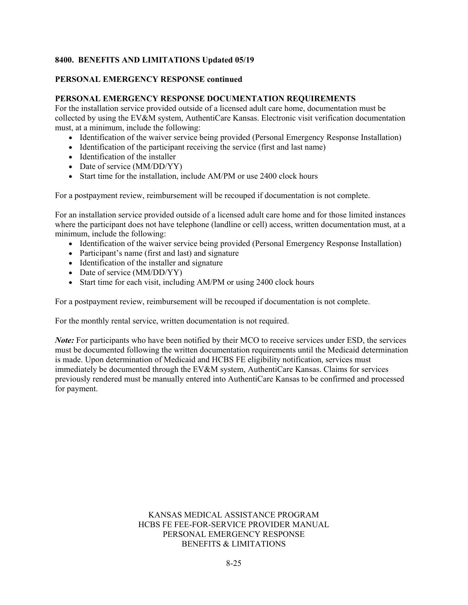#### **PERSONAL EMERGENCY RESPONSE continued**

#### **PERSONAL EMERGENCY RESPONSE DOCUMENTATION REQUIREMENTS**

For the installation service provided outside of a licensed adult care home, documentation must be collected by using the EV&M system, AuthentiCare Kansas. Electronic visit verification documentation must, at a minimum, include the following:

- Identification of the waiver service being provided (Personal Emergency Response Installation)
- Identification of the participant receiving the service (first and last name)
- Identification of the installer
- Date of service (MM/DD/YY)
- Start time for the installation, include AM/PM or use 2400 clock hours

For a postpayment review, reimbursement will be recouped if documentation is not complete.

For an installation service provided outside of a licensed adult care home and for those limited instances where the participant does not have telephone (landline or cell) access, written documentation must, at a minimum, include the following:

- Identification of the waiver service being provided (Personal Emergency Response Installation)
- Participant's name (first and last) and signature
- Identification of the installer and signature
- Date of service (MM/DD/YY)
- Start time for each visit, including AM/PM or using 2400 clock hours

For a postpayment review, reimbursement will be recouped if documentation is not complete.

For the monthly rental service, written documentation is not required.

*Note:* For participants who have been notified by their MCO to receive services under ESD, the services must be documented following the written documentation requirements until the Medicaid determination is made. Upon determination of Medicaid and HCBS FE eligibility notification, services must immediately be documented through the EV&M system, AuthentiCare Kansas. Claims for services previously rendered must be manually entered into AuthentiCare Kansas to be confirmed and processed for payment.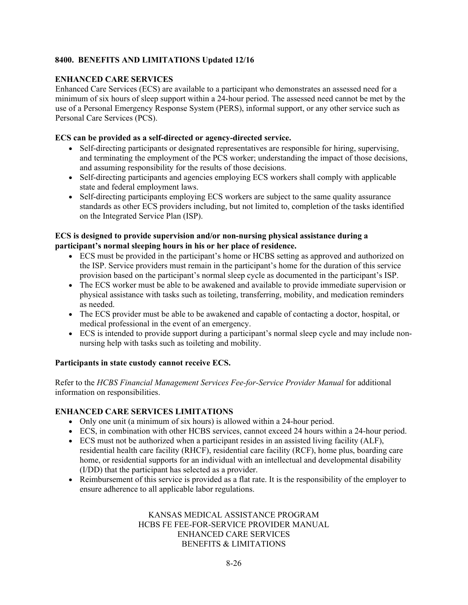# **ENHANCED CARE SERVICES**

Enhanced Care Services (ECS) are available to a participant who demonstrates an assessed need for a minimum of six hours of sleep support within a 24-hour period. The assessed need cannot be met by the use of a Personal Emergency Response System (PERS), informal support, or any other service such as Personal Care Services (PCS).

#### **ECS can be provided as a self-directed or agency-directed service.**

- Self-directing participants or designated representatives are responsible for hiring, supervising, and terminating the employment of the PCS worker; understanding the impact of those decisions, and assuming responsibility for the results of those decisions.
- Self-directing participants and agencies employing ECS workers shall comply with applicable state and federal employment laws.
- Self-directing participants employing ECS workers are subject to the same quality assurance standards as other ECS providers including, but not limited to, completion of the tasks identified on the Integrated Service Plan (ISP).

# **ECS is designed to provide supervision and/or non-nursing physical assistance during a participant's normal sleeping hours in his or her place of residence.**

- ECS must be provided in the participant's home or HCBS setting as approved and authorized on the ISP. Service providers must remain in the participant's home for the duration of this service provision based on the participant's normal sleep cycle as documented in the participant's ISP.
- The ECS worker must be able to be awakened and available to provide immediate supervision or physical assistance with tasks such as toileting, transferring, mobility, and medication reminders as needed.
- The ECS provider must be able to be awakened and capable of contacting a doctor, hospital, or medical professional in the event of an emergency.
- ECS is intended to provide support during a participant's normal sleep cycle and may include nonnursing help with tasks such as toileting and mobility.

#### **Participants in state custody cannot receive ECS.**

Refer to the *HCBS Financial Management Services Fee-for-Service Provider Manual* for additional information on responsibilities.

# **ENHANCED CARE SERVICES LIMITATIONS**

- Only one unit (a minimum of six hours) is allowed within a 24-hour period.
- ECS, in combination with other HCBS services, cannot exceed 24 hours within a 24-hour period.
- ECS must not be authorized when a participant resides in an assisted living facility (ALF), residential health care facility (RHCF), residential care facility (RCF), home plus, boarding care home, or residential supports for an individual with an intellectual and developmental disability (I/DD) that the participant has selected as a provider.
- Reimbursement of this service is provided as a flat rate. It is the responsibility of the employer to ensure adherence to all applicable labor regulations.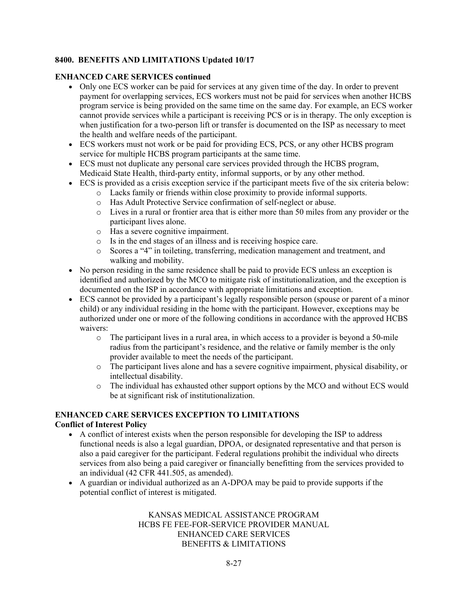#### **ENHANCED CARE SERVICES continued**

- Only one ECS worker can be paid for services at any given time of the day. In order to prevent payment for overlapping services, ECS workers must not be paid for services when another HCBS program service is being provided on the same time on the same day. For example, an ECS worker cannot provide services while a participant is receiving PCS or is in therapy. The only exception is when justification for a two-person lift or transfer is documented on the ISP as necessary to meet the health and welfare needs of the participant.
- ECS workers must not work or be paid for providing ECS, PCS, or any other HCBS program service for multiple HCBS program participants at the same time.
- ECS must not duplicate any personal care services provided through the HCBS program, Medicaid State Health, third-party entity, informal supports, or by any other method.
- ECS is provided as a crisis exception service if the participant meets five of the six criteria below:
	- o Lacks family or friends within close proximity to provide informal supports.
	- o Has Adult Protective Service confirmation of self-neglect or abuse.
	- $\circ$  Lives in a rural or frontier area that is either more than 50 miles from any provider or the participant lives alone.
	- o Has a severe cognitive impairment.
	- o Is in the end stages of an illness and is receiving hospice care.
	- o Scores a "4" in toileting, transferring, medication management and treatment, and walking and mobility.
- No person residing in the same residence shall be paid to provide ECS unless an exception is identified and authorized by the MCO to mitigate risk of institutionalization, and the exception is documented on the ISP in accordance with appropriate limitations and exception.
- ECS cannot be provided by a participant's legally responsible person (spouse or parent of a minor child) or any individual residing in the home with the participant. However, exceptions may be authorized under one or more of the following conditions in accordance with the approved HCBS waivers:
	- o The participant lives in a rural area, in which access to a provider is beyond a 50-mile radius from the participant's residence, and the relative or family member is the only provider available to meet the needs of the participant.
	- o The participant lives alone and has a severe cognitive impairment, physical disability, or intellectual disability.
	- $\circ$  The individual has exhausted other support options by the MCO and without ECS would be at significant risk of institutionalization.

#### **ENHANCED CARE SERVICES EXCEPTION TO LIMITATIONS Conflict of Interest Policy**

- A conflict of interest exists when the person responsible for developing the ISP to address functional needs is also a legal guardian, DPOA, or designated representative and that person is also a paid caregiver for the participant. Federal regulations prohibit the individual who directs services from also being a paid caregiver or financially benefitting from the services provided to an individual (42 CFR 441.505, as amended).
- A guardian or individual authorized as an A-DPOA may be paid to provide supports if the potential conflict of interest is mitigated.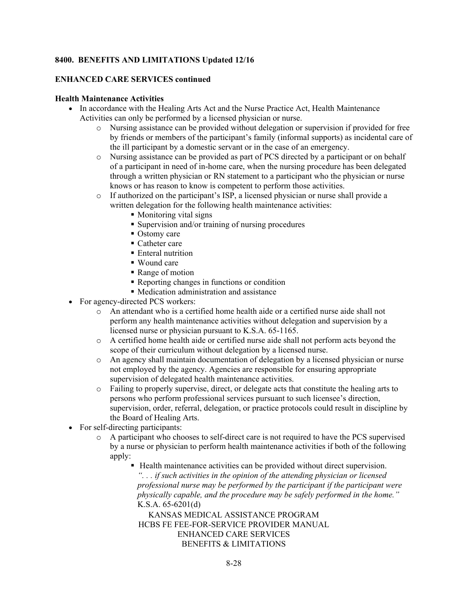#### **ENHANCED CARE SERVICES continued**

#### **Health Maintenance Activities**

- In accordance with the Healing Arts Act and the Nurse Practice Act, Health Maintenance Activities can only be performed by a licensed physician or nurse.
	- o Nursing assistance can be provided without delegation or supervision if provided for free by friends or members of the participant's family (informal supports) as incidental care of the ill participant by a domestic servant or in the case of an emergency.
	- o Nursing assistance can be provided as part of PCS directed by a participant or on behalf of a participant in need of in-home care, when the nursing procedure has been delegated through a written physician or RN statement to a participant who the physician or nurse knows or has reason to know is competent to perform those activities.
	- o If authorized on the participant's ISP, a licensed physician or nurse shall provide a written delegation for the following health maintenance activities:
		- Monitoring vital signs
		- Supervision and/or training of nursing procedures
		- Ostomy care
		- Catheter care
		- **Enteral nutrition**
		- Wound care
		- Range of motion
		- Reporting changes in functions or condition
		- Medication administration and assistance
- For agency-directed PCS workers:
	- o An attendant who is a certified home health aide or a certified nurse aide shall not perform any health maintenance activities without delegation and supervision by a licensed nurse or physician pursuant to K.S.A. 65-1165.
	- o A certified home health aide or certified nurse aide shall not perform acts beyond the scope of their curriculum without delegation by a licensed nurse.
	- o An agency shall maintain documentation of delegation by a licensed physician or nurse not employed by the agency. Agencies are responsible for ensuring appropriate supervision of delegated health maintenance activities.
	- o Failing to properly supervise, direct, or delegate acts that constitute the healing arts to persons who perform professional services pursuant to such licensee's direction, supervision, order, referral, delegation, or practice protocols could result in discipline by the Board of Healing Arts.
- For self-directing participants:
	- o A participant who chooses to self-direct care is not required to have the PCS supervised by a nurse or physician to perform health maintenance activities if both of the following apply:
		- Health maintenance activities can be provided without direct supervision. *". . . if such activities in the opinion of the attending physician or licensed professional nurse may be performed by the participant if the participant were physically capable, and the procedure may be safely performed in the home."* K.S.A. 65-6201(d)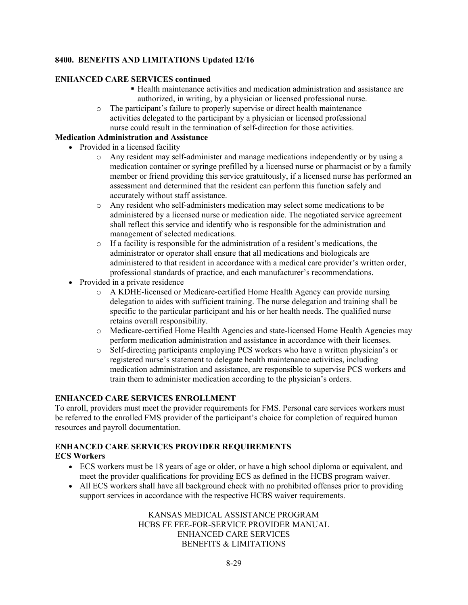#### **ENHANCED CARE SERVICES continued**

- Health maintenance activities and medication administration and assistance are authorized, in writing, by a physician or licensed professional nurse.
- o The participant's failure to properly supervise or direct health maintenance activities delegated to the participant by a physician or licensed professional nurse could result in the termination of self-direction for those activities.

#### **Medication Administration and Assistance**

- Provided in a licensed facility
	- o Any resident may self-administer and manage medications independently or by using a medication container or syringe prefilled by a licensed nurse or pharmacist or by a family member or friend providing this service gratuitously, if a licensed nurse has performed an assessment and determined that the resident can perform this function safely and accurately without staff assistance.
	- o Any resident who self-administers medication may select some medications to be administered by a licensed nurse or medication aide. The negotiated service agreement shall reflect this service and identify who is responsible for the administration and management of selected medications.
	- o If a facility is responsible for the administration of a resident's medications, the administrator or operator shall ensure that all medications and biologicals are administered to that resident in accordance with a medical care provider's written order, professional standards of practice, and each manufacturer's recommendations.
- Provided in a private residence
	- o A KDHE-licensed or Medicare-certified Home Health Agency can provide nursing delegation to aides with sufficient training. The nurse delegation and training shall be specific to the particular participant and his or her health needs. The qualified nurse retains overall responsibility.
	- o Medicare-certified Home Health Agencies and state-licensed Home Health Agencies may perform medication administration and assistance in accordance with their licenses.
	- o Self-directing participants employing PCS workers who have a written physician's or registered nurse's statement to delegate health maintenance activities, including medication administration and assistance, are responsible to supervise PCS workers and train them to administer medication according to the physician's orders.

#### **ENHANCED CARE SERVICES ENROLLMENT**

To enroll, providers must meet the provider requirements for FMS. Personal care services workers must be referred to the enrolled FMS provider of the participant's choice for completion of required human resources and payroll documentation.

# **ENHANCED CARE SERVICES PROVIDER REQUIREMENTS**

#### **ECS Workers**

- ECS workers must be 18 years of age or older, or have a high school diploma or equivalent, and meet the provider qualifications for providing ECS as defined in the HCBS program waiver.
- All ECS workers shall have all background check with no prohibited offenses prior to providing support services in accordance with the respective HCBS waiver requirements.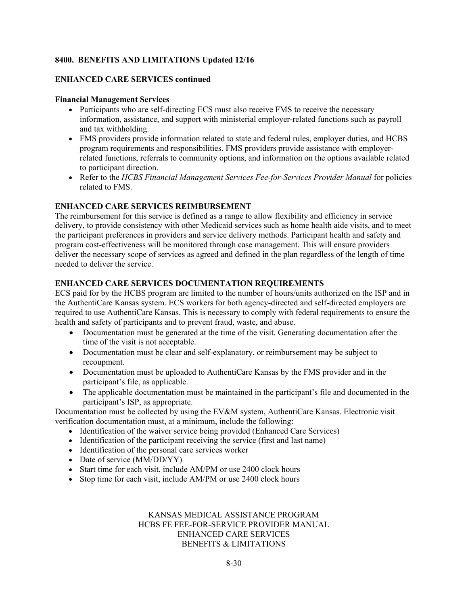#### **ENHANCED CARE SERVICES continued**

#### **Financial Management Services**

- Participants who are self-directing ECS must also receive FMS to receive the necessary information, assistance, and support with ministerial employer-related functions such as payroll and tax withholding.
- FMS providers provide information related to state and federal rules, employer duties, and HCBS program requirements and responsibilities. FMS providers provide assistance with employerrelated functions, referrals to community options, and information on the options available related to participant direction.
- Refer to the *HCBS Financial Management Services Fee-for-Services Provider Manual* for policies related to FMS.

# **ENHANCED CARE SERVICES REIMBURSEMENT**

The reimbursement for this service is defined as a range to allow flexibility and efficiency in service delivery, to provide consistency with other Medicaid services such as home health aide visits, and to meet the participant preferences in providers and service delivery methods. Participant health and safety and program cost-effectiveness will be monitored through case management. This will ensure providers deliver the necessary scope of services as agreed and defined in the plan regardless of the length of time needed to deliver the service.

# **ENHANCED CARE SERVICES DOCUMENTATION REQUIREMENTS**

ECS paid for by the HCBS program are limited to the number of hours/units authorized on the ISP and in the AuthentiCare Kansas system. ECS workers for both agency-directed and self-directed employers are required to use AuthentiCare Kansas. This is necessary to comply with federal requirements to ensure the health and safety of participants and to prevent fraud, waste, and abuse.

- Documentation must be generated at the time of the visit. Generating documentation after the time of the visit is not acceptable.
- Documentation must be clear and self-explanatory, or reimbursement may be subject to recoupment.
- Documentation must be uploaded to AuthentiCare Kansas by the FMS provider and in the participant's file, as applicable.
- The applicable documentation must be maintained in the participant's file and documented in the participant's ISP, as appropriate.

Documentation must be collected by using the EV&M system, AuthentiCare Kansas. Electronic visit verification documentation must, at a minimum, include the following:

- Identification of the waiver service being provided (Enhanced Care Services)
- Identification of the participant receiving the service (first and last name)
- Identification of the personal care services worker
- Date of service (MM/DD/YY)
- Start time for each visit, include AM/PM or use 2400 clock hours
- Stop time for each visit, include AM/PM or use 2400 clock hours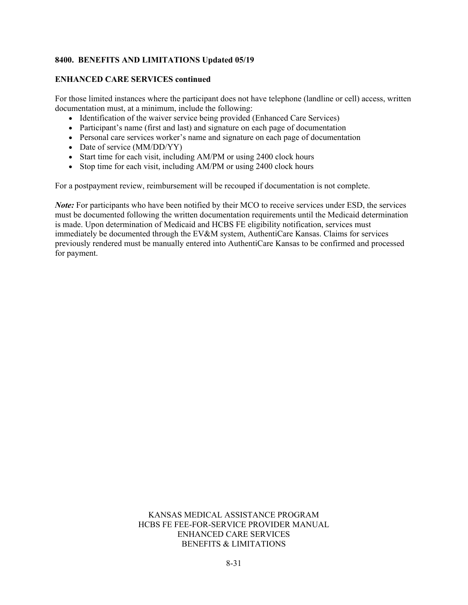#### **ENHANCED CARE SERVICES continued**

For those limited instances where the participant does not have telephone (landline or cell) access, written documentation must, at a minimum, include the following:

- Identification of the waiver service being provided (Enhanced Care Services)
- Participant's name (first and last) and signature on each page of documentation
- Personal care services worker's name and signature on each page of documentation
- Date of service (MM/DD/YY)
- Start time for each visit, including AM/PM or using 2400 clock hours
- Stop time for each visit, including AM/PM or using 2400 clock hours

For a postpayment review, reimbursement will be recouped if documentation is not complete.

*Note:* For participants who have been notified by their MCO to receive services under ESD, the services must be documented following the written documentation requirements until the Medicaid determination is made. Upon determination of Medicaid and HCBS FE eligibility notification, services must immediately be documented through the EV&M system, AuthentiCare Kansas. Claims for services previously rendered must be manually entered into AuthentiCare Kansas to be confirmed and processed for payment.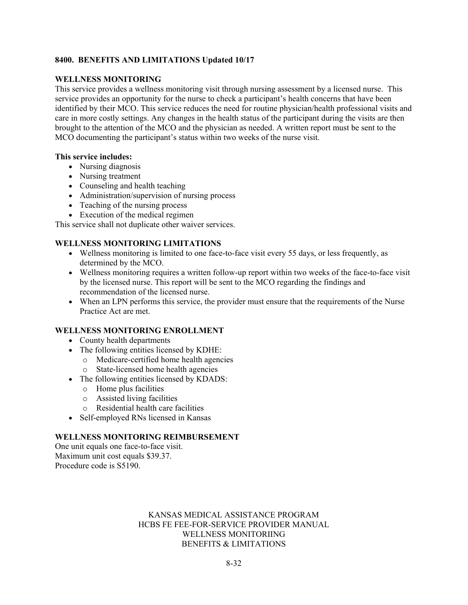#### **WELLNESS MONITORING**

This service provides a wellness monitoring visit through nursing assessment by a licensed nurse. This service provides an opportunity for the nurse to check a participant's health concerns that have been identified by their MCO. This service reduces the need for routine physician/health professional visits and care in more costly settings. Any changes in the health status of the participant during the visits are then brought to the attention of the MCO and the physician as needed. A written report must be sent to the MCO documenting the participant's status within two weeks of the nurse visit.

#### **This service includes:**

- Nursing diagnosis
- Nursing treatment
- Counseling and health teaching
- Administration/supervision of nursing process
- Teaching of the nursing process
- Execution of the medical regimen

This service shall not duplicate other waiver services.

#### **WELLNESS MONITORING LIMITATIONS**

- Wellness monitoring is limited to one face-to-face visit every 55 days, or less frequently, as determined by the MCO.
- Wellness monitoring requires a written follow-up report within two weeks of the face-to-face visit by the licensed nurse. This report will be sent to the MCO regarding the findings and recommendation of the licensed nurse.
- When an LPN performs this service, the provider must ensure that the requirements of the Nurse Practice Act are met.

#### **WELLNESS MONITORING ENROLLMENT**

- County health departments
- The following entities licensed by KDHE:
	- o Medicare-certified home health agencies
	- o State-licensed home health agencies
- The following entities licensed by KDADS:
	- o Home plus facilities
	- o Assisted living facilities
	- o Residential health care facilities
- Self-employed RNs licensed in Kansas

#### **WELLNESS MONITORING REIMBURSEMENT**

One unit equals one face-to-face visit. Maximum unit cost equals \$39.37. Procedure code is S5190.

#### KANSAS MEDICAL ASSISTANCE PROGRAM HCBS FE FEE-FOR-SERVICE PROVIDER MANUAL WELLNESS MONITORIING BENEFITS & LIMITATIONS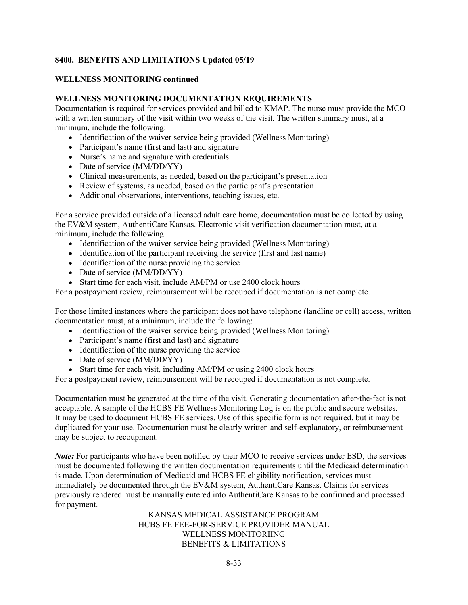#### **WELLNESS MONITORING continued**

#### **WELLNESS MONITORING DOCUMENTATION REQUIREMENTS**

Documentation is required for services provided and billed to KMAP. The nurse must provide the MCO with a written summary of the visit within two weeks of the visit. The written summary must, at a minimum, include the following:

- Identification of the waiver service being provided (Wellness Monitoring)
- Participant's name (first and last) and signature
- Nurse's name and signature with credentials
- Date of service (MM/DD/YY)
- Clinical measurements, as needed, based on the participant's presentation
- Review of systems, as needed, based on the participant's presentation
- Additional observations, interventions, teaching issues, etc.

For a service provided outside of a licensed adult care home, documentation must be collected by using the EV&M system, AuthentiCare Kansas. Electronic visit verification documentation must, at a minimum, include the following:

- Identification of the waiver service being provided (Wellness Monitoring)
- Identification of the participant receiving the service (first and last name)
- Identification of the nurse providing the service
- Date of service (MM/DD/YY)
- Start time for each visit, include AM/PM or use 2400 clock hours

For a postpayment review, reimbursement will be recouped if documentation is not complete.

For those limited instances where the participant does not have telephone (landline or cell) access, written documentation must, at a minimum, include the following:

- Identification of the waiver service being provided (Wellness Monitoring)
- Participant's name (first and last) and signature
- Identification of the nurse providing the service
- Date of service (MM/DD/YY)
- Start time for each visit, including AM/PM or using 2400 clock hours

For a postpayment review, reimbursement will be recouped if documentation is not complete.

Documentation must be generated at the time of the visit. Generating documentation after-the-fact is not acceptable. A sample of the HCBS FE Wellness Monitoring Log is on the public and secure websites. It may be used to document HCBS FE services. Use of this specific form is not required, but it may be duplicated for your use. Documentation must be clearly written and self-explanatory, or reimbursement may be subject to recoupment.

*Note:* For participants who have been notified by their MCO to receive services under ESD, the services must be documented following the written documentation requirements until the Medicaid determination is made. Upon determination of Medicaid and HCBS FE eligibility notification, services must immediately be documented through the EV&M system, AuthentiCare Kansas. Claims for services previously rendered must be manually entered into AuthentiCare Kansas to be confirmed and processed for payment.

> KANSAS MEDICAL ASSISTANCE PROGRAM HCBS FE FEE-FOR-SERVICE PROVIDER MANUAL WELLNESS MONITORIING BENEFITS & LIMITATIONS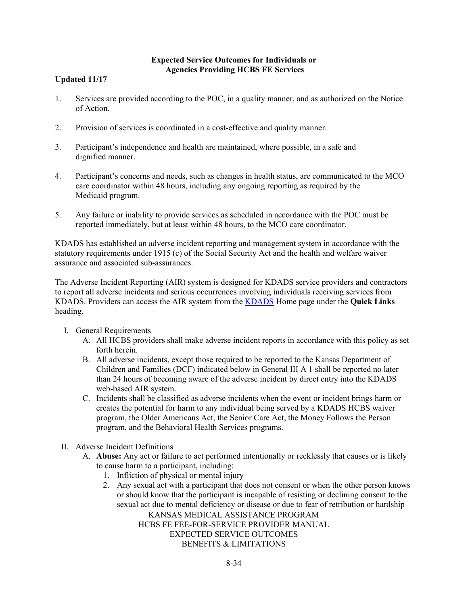# **Expected Service Outcomes for Individuals or Agencies Providing HCBS FE Services**

# **Updated 11/17**

- 1. Services are provided according to the POC, in a quality manner, and as authorized on the Notice of Action.
- 2. Provision of services is coordinated in a cost-effective and quality manner.
- 3. Participant's independence and health are maintained, where possible, in a safe and dignified manner.
- 4. Participant's concerns and needs, such as changes in health status, are communicated to the MCO care coordinator within 48 hours, including any ongoing reporting as required by the Medicaid program.
- 5. Any failure or inability to provide services as scheduled in accordance with the POC must be reported immediately, but at least within 48 hours, to the MCO care coordinator.

KDADS has established an adverse incident reporting and management system in accordance with the statutory requirements under 1915 (c) of the Social Security Act and the health and welfare waiver assurance and associated sub-assurances.

The Adverse Incident Reporting (AIR) system is designed for KDADS service providers and contractors to report all adverse incidents and serious occurrences involving individuals receiving services from KDADS. Providers can access the AIR system from the [KDADS](http://www.kdads.ks.gov/) Home page under the **Quick Links**  heading.

- I. General Requirements
	- A. All HCBS providers shall make adverse incident reports in accordance with this policy as set forth herein.
	- B. All adverse incidents, except those required to be reported to the Kansas Department of Children and Families (DCF) indicated below in General III A 1 shall be reported no later than 24 hours of becoming aware of the adverse incident by direct entry into the KDADS web-based AIR system.
	- C. Incidents shall be classified as adverse incidents when the event or incident brings harm or creates the potential for harm to any individual being served by a KDADS HCBS waiver program, the Older Americans Act, the Senior Care Act, the Money Follows the Person program, and the Behavioral Health Services programs.
- II. Adverse Incident Definitions
	- A. **Abuse:** Any act or failure to act performed intentionally or recklessly that causes or is likely to cause harm to a participant, including:
		- 1. Infliction of physical or mental injury
		- 2. Any sexual act with a participant that does not consent or when the other person knows or should know that the participant is incapable of resisting or declining consent to the sexual act due to mental deficiency or disease or due to fear of retribution or hardship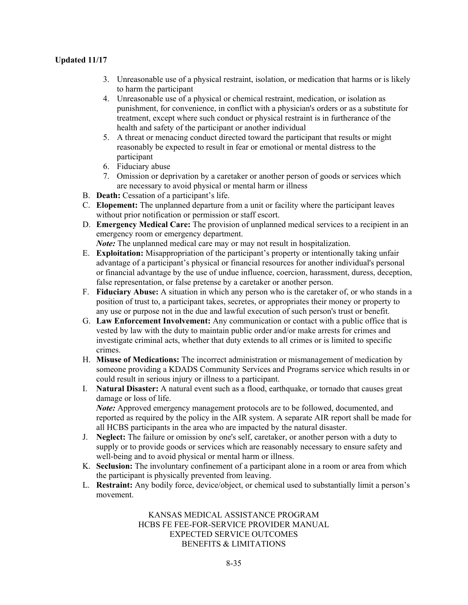- 3. Unreasonable use of a physical restraint, isolation, or medication that harms or is likely to harm the participant
- 4. Unreasonable use of a physical or chemical restraint, medication, or isolation as punishment, for convenience, in conflict with a physician's orders or as a substitute for treatment, except where such conduct or physical restraint is in furtherance of the health and safety of the participant or another individual
- 5. A threat or menacing conduct directed toward the participant that results or might reasonably be expected to result in fear or emotional or mental distress to the participant
- 6. Fiduciary abuse
- 7. Omission or deprivation by a caretaker or another person of goods or services which are necessary to avoid physical or mental harm or illness
- B. **Death:** Cessation of a participant's life.
- C. **Elopement:** The unplanned departure from a unit or facility where the participant leaves without prior notification or permission or staff escort.
- D. **Emergency Medical Care:** The provision of unplanned medical services to a recipient in an emergency room or emergency department.

*Note:* The unplanned medical care may or may not result in hospitalization.

- E. **Exploitation:** Misappropriation of the participant's property or intentionally taking unfair advantage of a participant's physical or financial resources for another individual's personal or financial advantage by the use of undue influence, coercion, harassment, duress, deception, false representation, or false pretense by a caretaker or another person.
- F. **Fiduciary Abuse:** A situation in which any person who is the caretaker of, or who stands in a position of trust to, a participant takes, secretes, or appropriates their money or property to any use or purpose not in the due and lawful execution of such person's trust or benefit.
- G. **Law Enforcement Involvement:** Any communication or contact with a public office that is vested by law with the duty to maintain public order and/or make arrests for crimes and investigate criminal acts, whether that duty extends to all crimes or is limited to specific crimes.
- H. **Misuse of Medications:** The incorrect administration or mismanagement of medication by someone providing a KDADS Community Services and Programs service which results in or could result in serious injury or illness to a participant.
- I. **Natural Disaster:** A natural event such as a flood, earthquake, or tornado that causes great damage or loss of life. *Note:* Approved emergency management protocols are to be followed, documented, and

reported as required by the policy in the AIR system. A separate AIR report shall be made for all HCBS participants in the area who are impacted by the natural disaster.

- J. **Neglect:** The failure or omission by one's self, caretaker, or another person with a duty to supply or to provide goods or services which are reasonably necessary to ensure safety and well-being and to avoid physical or mental harm or illness.
- K. **Seclusion:** The involuntary confinement of a participant alone in a room or area from which the participant is physically prevented from leaving.
- L. **Restraint:** Any bodily force, device/object, or chemical used to substantially limit a person's movement.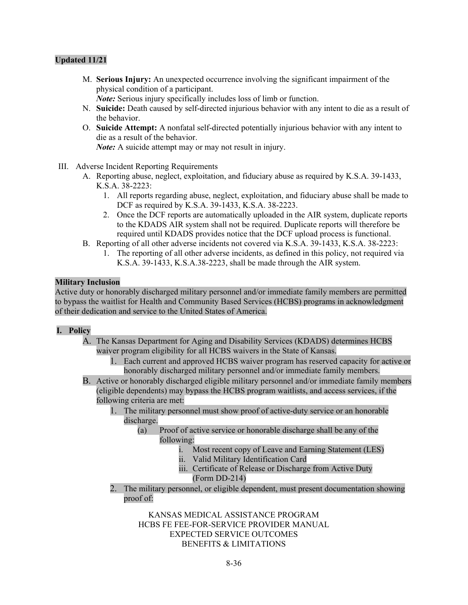M. **Serious Injury:** An unexpected occurrence involving the significant impairment of the physical condition of a participant.

*Note:* Serious injury specifically includes loss of limb or function.

- N. **Suicide:** Death caused by self-directed injurious behavior with any intent to die as a result of the behavior.
- O. **Suicide Attempt:** A nonfatal self-directed potentially injurious behavior with any intent to die as a result of the behavior.

*Note:* A suicide attempt may or may not result in injury.

- III. Adverse Incident Reporting Requirements
	- A. Reporting abuse, neglect, exploitation, and fiduciary abuse as required by K.S.A. 39-1433, K.S.A. 38-2223:
		- 1. All reports regarding abuse, neglect, exploitation, and fiduciary abuse shall be made to DCF as required by K.S.A. 39-1433, K.S.A. 38-2223.
		- 2. Once the DCF reports are automatically uploaded in the AIR system, duplicate reports to the KDADS AIR system shall not be required. Duplicate reports will therefore be required until KDADS provides notice that the DCF upload process is functional.
	- B. Reporting of all other adverse incidents not covered via K.S.A. 39-1433, K.S.A. 38-2223:
		- 1. The reporting of all other adverse incidents, as defined in this policy, not required via K.S.A. 39-1433, K.S.A.38-2223, shall be made through the AIR system.

#### **Military Inclusion**

Active duty or honorably discharged military personnel and/or immediate family members are permitted to bypass the waitlist for Health and Community Based Services (HCBS) programs in acknowledgment of their dedication and service to the United States of America.

#### **I. Policy**

- A. The Kansas Department for Aging and Disability Services (KDADS) determines HCBS waiver program eligibility for all HCBS waivers in the State of Kansas.
	- 1. Each current and approved HCBS waiver program has reserved capacity for active or honorably discharged military personnel and/or immediate family members.
- B. Active or honorably discharged eligible military personnel and/or immediate family members (eligible dependents) may bypass the HCBS program waitlists, and access services, if the following criteria are met:
	- 1. The military personnel must show proof of active-duty service or an honorable discharge.
		- (a) Proof of active service or honorable discharge shall be any of the following:
			- i. Most recent copy of Leave and Earning Statement (LES)
			- ii. Valid Military Identification Card
			- iii. Certificate of Release or Discharge from Active Duty (Form DD-214)
	- 2. The military personnel, or eligible dependent, must present documentation showing proof of: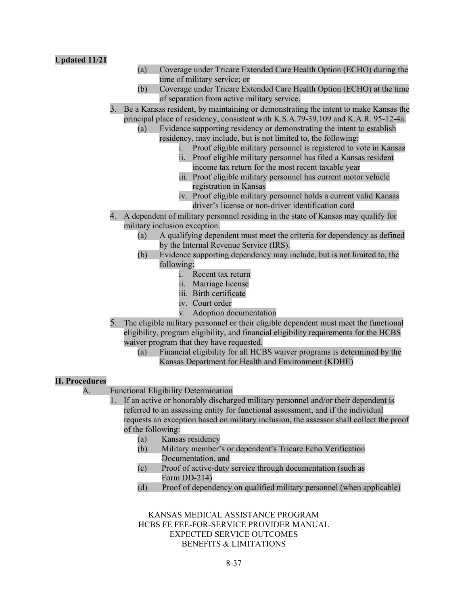- (a) Coverage under Tricare Extended Care Health Option (ECHO) during the time of military service; or
- (b) Coverage under Tricare Extended Care Health Option (ECHO) at the time of separation from active military service.
- 3. Be a Kansas resident, by maintaining or demonstrating the intent to make Kansas the principal place of residency, consistent with K.S.A.79-39,109 and K.A.R. 95-12-4a.
	- (a) Evidence supporting residency or demonstrating the intent to establish residency, may include, but is not limited to, the following:
		- i. Proof eligible military personnel is registered to vote in Kansas
		- ii. Proof eligible military personnel has filed a Kansas resident income tax return for the most recent taxable year
		- iii. Proof eligible military personnel has current motor vehicle registration in Kansas
		- iv. Proof eligible military personnel holds a current valid Kansas driver's license or non-driver identification card
- 4. A dependent of military personnel residing in the state of Kansas may qualify for military inclusion exception.
	- (a) A qualifying dependent must meet the criteria for dependency as defined by the Internal Revenue Service (IRS).
	- (b) Evidence supporting dependency may include, but is not limited to, the following:
		- i. Recent tax return
		- ii. Marriage license
		- iii. Birth certificate
		- iv. Court order
		- v. Adoption documentation
- 5. The eligible military personnel or their eligible dependent must meet the functional eligibility, program eligibility, and financial eligibility requirements for the HCBS waiver program that they have requested.
	- (a) Financial eligibility for all HCBS waiver programs is determined by the Kansas Department for Health and Environment (KDHE)

#### **II. Procedures**

- A. Functional Eligibility Determination
	- 1. If an active or honorably discharged military personnel and/or their dependent is referred to an assessing entity for functional assessment, and if the individual requests an exception based on military inclusion, the assessor shall collect the proof of the following:
		- (a) Kansas residency
		- (b) Military member's or dependent's Tricare Echo Verification Documentation, and
		- (c) Proof of active-duty service through documentation (such as Form DD-214)
		- (d) Proof of dependency on qualified military personnel (when applicable)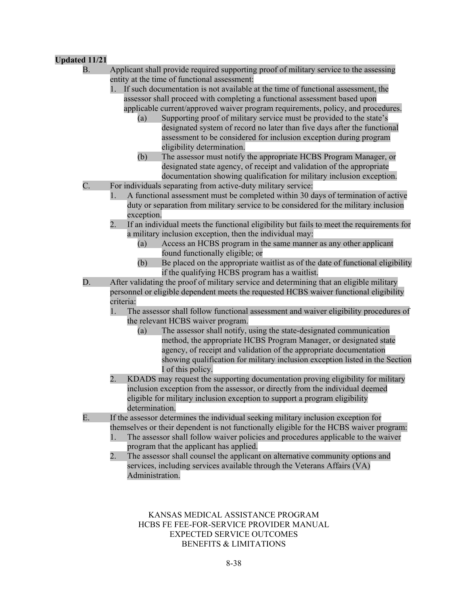| <b>Partical International Proper</b> |                                                                                                                                                                                                                                                                                                                                                                                                                                                                                                                                                                                                                                                                                                                                                                                                                                                                                                                                      |
|--------------------------------------|--------------------------------------------------------------------------------------------------------------------------------------------------------------------------------------------------------------------------------------------------------------------------------------------------------------------------------------------------------------------------------------------------------------------------------------------------------------------------------------------------------------------------------------------------------------------------------------------------------------------------------------------------------------------------------------------------------------------------------------------------------------------------------------------------------------------------------------------------------------------------------------------------------------------------------------|
| В.                                   | Applicant shall provide required supporting proof of military service to the assessing<br>entity at the time of functional assessment:<br>1. If such documentation is not available at the time of functional assessment, the<br>assessor shall proceed with completing a functional assessment based upon<br>applicable current/approved waiver program requirements, policy, and procedures.<br>Supporting proof of military service must be provided to the state's<br>(a)<br>designated system of record no later than five days after the functional<br>assessment to be considered for inclusion exception during program<br>eligibility determination.<br>The assessor must notify the appropriate HCBS Program Manager, or<br>(b)<br>designated state agency, of receipt and validation of the appropriate<br>documentation showing qualification for military inclusion exception.                                          |
| C.                                   | For individuals separating from active-duty military service:<br>A functional assessment must be completed within 30 days of termination of active<br>1.<br>duty or separation from military service to be considered for the military inclusion<br>exception.<br>2.<br>If an individual meets the functional eligibility but fails to meet the requirements for<br>a military inclusion exception, then the individual may:<br>Access an HCBS program in the same manner as any other applicant<br>(a)<br>found functionally eligible; or<br>(b)<br>Be placed on the appropriate waitlist as of the date of functional eligibility<br>if the qualifying HCBS program has a waitlist.                                                                                                                                                                                                                                                |
| D.                                   | After validating the proof of military service and determining that an eligible military<br>personnel or eligible dependent meets the requested HCBS waiver functional eligibility<br>criteria:<br>The assessor shall follow functional assessment and waiver eligibility procedures of<br>the relevant HCBS waiver program.<br>The assessor shall notify, using the state-designated communication<br>(a)<br>method, the appropriate HCBS Program Manager, or designated state<br>agency, of receipt and validation of the appropriate documentation<br>showing qualification for military inclusion exception listed in the Section<br>I of this policy.<br>KDADS may request the supporting documentation proving eligibility for military<br>2.<br>inclusion exception from the assessor, or directly from the individual deemed<br>eligible for military inclusion exception to support a program eligibility<br>determination. |
| Ε.                                   | If the assessor determines the individual seeking military inclusion exception for<br>themselves or their dependent is not functionally eligible for the HCBS waiver program:<br>The assessor shall follow waiver policies and procedures applicable to the waiver<br>program that the applicant has applied.<br>2.<br>The assessor shall counsel the applicant on alternative community options and<br>services, including services available through the Veterans Affairs (VA)<br>Administration.                                                                                                                                                                                                                                                                                                                                                                                                                                  |